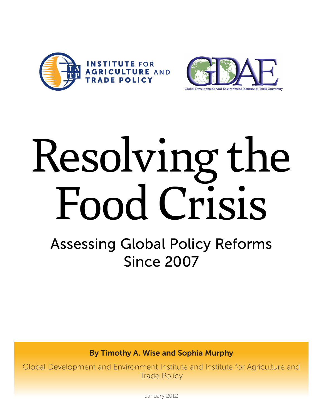



# Resolving the Food Crisis

Assessing Global Policy Reforms Since 2007

By Timothy A. Wise and Sophia Murphy

Global Development and Environment Institute and Institute for Agriculture and Trade Policy

January 2012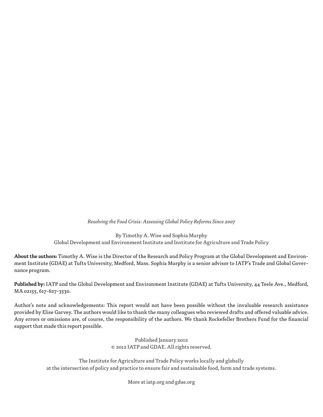*Resolving the Food Crisis: Assessing Global Policy Reforms Since 2007* 

By Timothy A. Wise and Sophia Murphy Global Development and Environment Institute and Institute for Agriculture and Trade Policy

**About the authors:** Timothy A. Wise is the Director of the Research and Policy Program at the Global Development and Environment Institute (GDAE) at Tufts University, Medford, Mass. Sophia Murphy is a senior advisor to IATP's Trade and Global Governance program.

**Published by:** IATP and the Global Development and Environment Institute (GDAE) at Tufts University, 44 Teele Ave., Medford, MA 02155, 617-627-3530.

Author's note and acknowledgements: This report would not have been possible without the invaluable research assistance provided by Elise Garvey. The authors would like to thank the many colleagues who reviewed drafts and offered valuable advice. Any errors or omissions are, of course, the responsibility of the authors. We thank Rockefeller Brothers Fund for the financial support that made this report possible.

> Published January 2012 © 2012 IATP and GDAE. All rights reserved.

The Institute for Agriculture and Trade Policy works locally and globally at the intersection of policy and practice to ensure fair and sustainable food, farm and trade systems.

More at iatp.org and gdae.org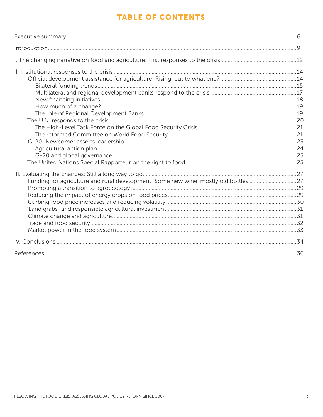# **TABLE OF CONTENTS**

| Funding for agriculture and rural development: Some new wine, mostly old bottles 27 |  |
|-------------------------------------------------------------------------------------|--|
|                                                                                     |  |
|                                                                                     |  |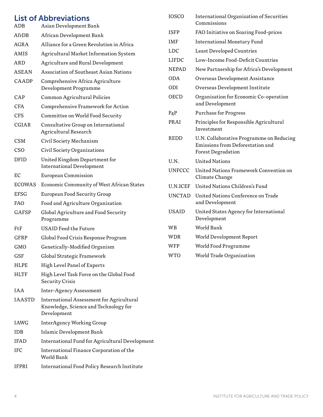### List of Abbreviations

| ADB          | Asian Development Bank                                                             |
|--------------|------------------------------------------------------------------------------------|
| AfrDB        | African Development Bank                                                           |
| AGRA         | Alliance for a Green Revolution in Africa                                          |
| AMIS         | Agricultural Market Information System                                             |
| ARD          | Agriculture and Rural Development                                                  |
| ASEAN        | Association of Southeast Asian Nations                                             |
| CAADP        | Comprehensive Africa Agriculture<br>Development Programme                          |
| CAP          | Common Agricultural Policies                                                       |
| <b>CFA</b>   | Comprehensive Framework for Action                                                 |
| CFS          | Committee on World Food Security                                                   |
| CGIAR        | Consultative Group on International<br>Agricultural Research                       |
| <b>CSM</b>   | Civil Society Mechanism                                                            |
| <b>CSO</b>   | Civil Society Organizations                                                        |
| <b>DFID</b>  | United Kingdom Department for<br><b>International Development</b>                  |
| EС           | <b>European Commission</b>                                                         |
| ECOWAS       | Economic Community of West African States                                          |
| <b>EFSG</b>  | <b>European Food Security Group</b>                                                |
| FAO          | Food and Agriculture Organization                                                  |
| <b>GAFSP</b> | Global Agriculture and Food Security<br>Programme                                  |
| FtF          | <b>USAID Feed the Future</b>                                                       |
| GFRP         | Global Food Crisis Response Program                                                |
| <b>GMO</b>   | Genetically-Modified Organism                                                      |
| <b>GSF</b>   | Global Strategic Framework                                                         |
| HLPE         | High Level Panel of Experts                                                        |
| HLTF         | High Level Task Force on the Global Food<br><b>Security Crisis</b>                 |
| IAA          | <b>Inter-Agency Assessment</b>                                                     |
| IAASTD       | International Assessment for Agricultural<br>Knowledge, Science and Technology for |

Development IAWG InterAgency Working Group IDB Islamic Development Bank

World Bank

IFAD International Fund for Agricultural Development

IFC International Finance Corporation of the

IFPRI International Food Policy Research Institute

| <b>IOSCO</b>  | <b>International Organization of Securities</b><br>Commissions                                            |
|---------------|-----------------------------------------------------------------------------------------------------------|
| ISFP          | FAO Initiative on Soaring Food-prices                                                                     |
| <b>IMF</b>    | <b>International Monetary Fund</b>                                                                        |
| LDC           | <b>Least Developed Countries</b>                                                                          |
| LIFDC         | Low-Income Food-Deficit Countries                                                                         |
| NEPAD         | New Partnership for Africa's Development                                                                  |
| <b>ODA</b>    | Overseas Development Assistance                                                                           |
| ODI           | Overseas Development Institute                                                                            |
| <b>OECD</b>   | Organisation for Economic Co-operation<br>and Development                                                 |
| $P_4P$        | <b>Purchase for Progress</b>                                                                              |
| PRAI          | Principles for Responsible Agricultural<br>Investment                                                     |
| REDD          | U.N. Collaborative Programme on Reducing<br>Emissions from Deforestation and<br><b>Forest Degradation</b> |
| U.N.          | <b>United Nations</b>                                                                                     |
| <b>UNFCCC</b> | United Nations Framework Convention on<br>Climate Change                                                  |
| U.N.ICEF      | United Nations Children's Fund                                                                            |
| <b>UNCTAD</b> | United Nations Conference on Trade<br>and Development                                                     |
| <b>USAID</b>  | United States Agency for International<br>Development                                                     |
| WВ            | World Bank                                                                                                |
| WDR           | World Development Report                                                                                  |
| WFP           | World Food Programme                                                                                      |
| <b>WTO</b>    | World Trade Organization                                                                                  |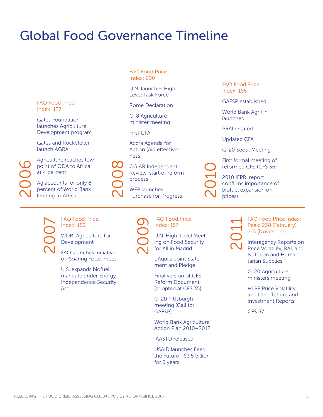# Global Food Governance Timeline

FAO Food Price Index: 127

Gates Foundation launches Agriculture Development program

Gates and Rockefeller launch AGRA

Agriculture reaches low point of ODA to Africa at 4 percent

Ag accounts for only 8 percent of World Bank Supposed to a transfer of ODA to at 4 percent<br>Ag accounts for<br>Percent of World<br>Lending to Africa

FAO Food Price Index: 200

U.N. launches High-Level Task Force

Rome Declaration

G-8 Agriculture minister meeting

First CFA

Accra Agenda for Action (Aid effectiveness)

CGIAR Independent Review, start of reform process CGIAR Independent<br>
Review, start of reform<br>
process<br>
WFP launches<br>
Purchase for Progress

WFP launches

FAO Food Price Index: 185

GAFSP established

World Bank AgriFin launched

PRAI created

Updated CFA

G-20 Seoul Meeting

First formal meeting of reformed CFS (CFS 36)

2010 IFPRI report confirms importance of biofuel expansion on De reform<br>2010 III<br>Confirre prices)

2007

FAO Food Price Index: 159

WDR: Agriculture for Development

FAO launches initiative on Soaring Food Prices

U.S. expands biofuel mandate under Energy Independence Security Act

2009

FAO Food Price Index: 157

U.N. High-Level Meeting on Food Security for All in Madrid

L'Aquila Joint Statement and Pledge

Final version of CFS Reform Document (adopted at CFS 35)

G-20 Pittsburgh meeting (Call for GAFSP)

World Bank Agriculture Action Plan 2010–2012

IAASTD released

USAID launches Feed the Future—\$3.5 billion for 3 years



FAO Food Price Index: Peak: 238 (February) 215 (November)

Interagency Reports on Price Volatility, RAI, and Nutrition and Humanitarian Supplies

G-20 Agriculture ministers meeting

HLPE Price Volatility and Land Tenure and Investment Reports

CFS 37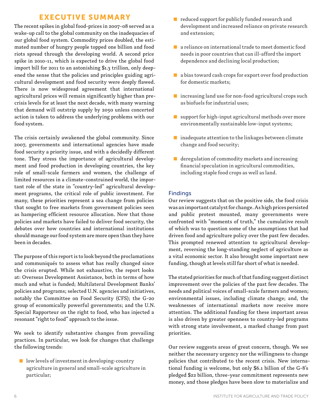## EXECUTIVE SUMMARY

The recent spikes in global food-prices in 2007-08 served as a wake-up call to the global community on the inadequacies of our global food system. Commodity prices doubled, the estimated number of hungry people topped one billion and food riots spread through the developing world. A second price spike in 2010-11, which is expected to drive the global food import bill for 2011 to an astonishing \$1.3 trillion, only deepened the sense that the policies and principles guiding agricultural development and food security were deeply flawed. There is now widespread agreement that international agricultural prices will remain significantly higher than precrisis levels for at least the next decade, with many warning that demand will outstrip supply by 2050 unless concerted action is taken to address the underlying problems with our food system.

The crisis certainly awakened the global community. Since 2007, governments and international agencies have made food security a priority issue, and with a decidedly different tone. They stress the importance of agricultural development and food production in developing countries, the key role of small-scale farmers and women, the challenge of limited resources in a climate-constrained world, the important role of the state in "country-led" agricultural development programs, the critical role of public investment. For many, these priorities represent a sea change from policies that sought to free markets from government policies seen as hampering efficient resource allocation. Now that those policies and markets have failed to deliver food security, the debates over how countries and international institutions should manage our food system are more open than they have been in decades.

The purpose of this report is to look beyond the proclamations and communiqués to assess what has really changed since the crisis erupted. While not exhaustive, the report looks at: Overseas Development Assistance, both in terms of how much and what is funded; Multilateral Development Banks' policies and programs; selected U.N. agencies and initiatives, notably the Committee on Food Security (CFS); the G-20 group of economically powerful governments; and the U.N. Special Rapporteur on the right to food, who has injected a resonant "right to food" approach to the issue.

We seek to identify substantive changes from prevailing practices. In particular, we look for changes that challenge the following trends:

■ low levels of investment in developing-country agriculture in general and small-scale agriculture in particular;

- reduced support for publicly funded research and development and increased reliance on private research and extension;
- a reliance on international trade to meet domestic food needs in poor countries that can ill-afford the import dependence and declining local production;
- a bias toward cash crops for export over food production for domestic markets;
- increasing land use for non-food agricultural crops such as biofuels for industrial uses;
- support for high-input agricultural methods over more environmentally sustainable low-input systems;
- inadequate attention to the linkages between climate change and food security;
- deregulation of commodity markets and increasing financial speculation in agricultural commodities, including staple food crops as well as land.

#### Findings

Our review suggests that on the positive side, the food crisis was an important catalyst for change. As high prices persisted and public protest mounted, many governments were confronted with "moments of truth," the cumulative result of which was to question some of the assumptions that had driven food and agriculture policy over the past few decades. This prompted renewed attention to agricultural development, reversing the long-standing neglect of agriculture as a vital economic sector. It also brought some important new funding, though at levels still far short of what is needed.

The stated priorities for much of that funding suggest distinct improvement over the policies of the past few decades. The needs and political voices of small-scale farmers and women; environmental issues, including climate change; and, the weaknesses of international markets now receive more attention. The additional funding for these important areas is also driven by greater openness to country-led programs with strong state involvement, a marked change from past priorities.

Our review suggests areas of great concern, though. We see neither the necessary urgency nor the willingness to change policies that contributed to the recent crisis. New international funding is welcome, but only \$6.1 billion of the G-8's pledged \$22 billion, three-year commitment represents new money, and those pledges have been slow to materialize and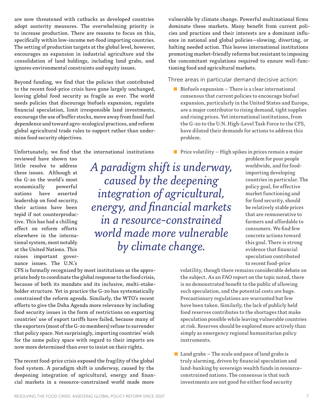are now threatened with cutbacks as developed countries adopt austerity measures. The overwhelming priority is to increase production. There are reasons to focus on this, specifically within low-income net-food importing countries. The setting of production targets at the global level, however, encourages an expansion in industrial agriculture and the consolidation of land holdings, including land grabs, and ignores environmental constraints and equity issues.

Beyond funding, we find that the policies that contributed to the recent food-price crisis have gone largely unchanged, leaving global food security as fragile as ever. The world needs policies that discourage biofuels expansion, regulate financial speculation, limit irresponsible land investments, encourage the use of buffer stocks, move away from fossil fuel dependence and toward agro-ecological practices, and reform global agricultural trade rules to support rather than undermine food security objectives.

Unfortunately, we find that the international institutions

reviewed have shown too little resolve to address these issues. Although at the G-20 the world's most economically powerful nations have asserted leadership on food security, their actions have been tepid if not counterproductive. This has had a chilling effect on reform efforts elsewhere in the international system, most notably at the United Nations. This raises important governance issues. The U.N.'s

*A paradigm shift is underway, caused by the deepening integration of agricultural, energy, and financial markets in a resource-constrained world made more vulnerable by climate change.* 

CFS is formally recognized by most institutions as the appropriate body to coordinate the global response to the food crisis, because of both its mandate and its inclusive, multi-stakeholder structure. Yet in practice the G-20 has systematically constrained the reform agenda. Similarly, the WTO's recent efforts to give the Doha Agenda more relevance by including food security issues in the form of restrictions on exporting countries' use of export tariffs have failed, because many of the exporters (most of the G-20 members) refuse to surrender that policy space. Not surprisingly, importing countries' wish for the same policy space with regard to their imports are now more determined than ever to insist on their rights.

The recent food-price crisis exposed the fragility of the global food system. A paradigm shift is underway, caused by the deepening integration of agricultural, energy and financial markets in a resource-constrained world made more

vulnerable by climate change. Powerful multinational firms dominate these markets. Many benefit from current policies and practices and their interests are a dominant influence in national and global policies—slowing, diverting, or halting needed action. This leaves international institutions promoting market-friendly reforms but resistant to imposing the concomitant regulations required to ensure well-functioning food and agricultural markets.

Three areas in particular demand decisive action:

■ Biofuels expansion – There is a clear international consensus that current policies to encourage biofuel expansion, particularly in the United States and Europe, are a major contributor to rising demand, tight supplies and rising prices. Yet international institutions, from the G-20 to the U.N. High-Level Task Force to the CFS, have diluted their demands for actions to address this problem.

 $\blacksquare$  Price volatility – High spikes in prices remain a major

problem for poor people worldwide, and for foodimporting developing countries in particular. The policy goal, for effective market functioning and for food security, should be relatively stable prices that are remunerative to farmers and affordable to consumers. We find few concrete actions toward this goal. There is strong evidence that financial speculation contributed to recent food-price

volatility, though there remains considerable debate on the subject. As an FAO report on the topic noted, there is no demonstrated benefit to the public of allowing such speculation, and the potential costs are huge. Precautionary regulations are warranted but few have been taken. Similarly, the lack of publicly held food reserves contributes to the shortages that make speculation possible while leaving vulnerable countries at risk. Reserves should be explored more actively than simply as emergency regional humanitarian policy instruments.

 $\blacksquare$  Land grabs – The scale and pace of land grabs is truly alarming, driven by financial speculation and land-banking by sovereign wealth funds in resourceconstrained nations. The consensus is that such investments are not good for either food security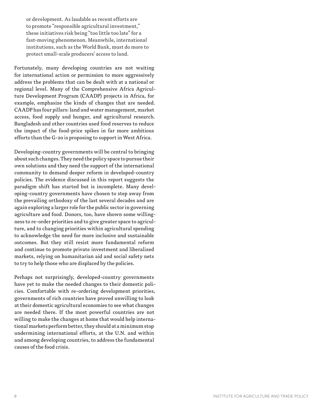or development. As laudable as recent efforts are to promote "responsible agricultural investment," these initiatives risk being "too little too late" for a fast-moving phenomenon. Meanwhile, international institutions, such as the World Bank, must do more to protect small-scale producers' access to land.

Fortunately, many developing countries are not waiting for international action or permission to more aggressively address the problems that can be dealt with at a national or regional level. Many of the Comprehensive Africa Agriculture Development Program (CAADP) projects in Africa, for example, emphasize the kinds of changes that are needed. CAADP has four pillars: land and water management, market access, food supply and hunger, and agricultural research. Bangladesh and other countries used food reserves to reduce the impact of the food-price spikes in far more ambitious efforts than the G-20 is proposing to support in West Africa.

Developing-country governments will be central to bringing about such changes. They need the policy space to pursue their own solutions and they need the support of the international community to demand deeper reform in developed-country policies. The evidence discussed in this report suggests the paradigm shift has started but is incomplete. Many developing-country governments have chosen to step away from the prevailing orthodoxy of the last several decades and are again exploring a larger role for the public sector in governing agriculture and food. Donors, too, have shown some willingness to re-order priorities and to give greater space to agriculture, and to changing priorities within agricultural spending to acknowledge the need for more inclusive and sustainable outcomes. But they still resist more fundamental reform and continue to promote private investment and liberalized markets, relying on humanitarian aid and social safety nets to try to help those who are displaced by the policies.

Perhaps not surprisingly, developed-country governments have yet to make the needed changes to their domestic policies. Comfortable with re-ordering development priorities, governments of rich countries have proved unwilling to look at their domestic agricultural economies to see what changes are needed there. If the most powerful countries are not willing to make the changes at home that would help international markets perform better, they should at a minimum stop undermining international efforts, at the U.N. and within and among developing countries, to address the fundamental causes of the food crisis.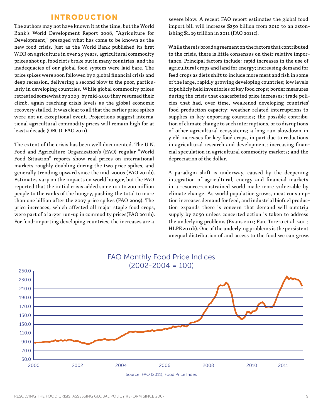#### INTRODUCTION

The authors may not have known it at the time, but the World Bank's World Development Report 2008, "Agriculture for Development," presaged what has come to be known as the new food crisis. Just as the World Bank published its first WDR on agriculture in over 25 years, agricultural commodity prices shot up, food riots broke out in many countries, and the inadequacies of our global food system were laid bare. The price spikes were soon followed by a global financial crisis and deep recession, delivering a second blow to the poor, particularly in developing countries. While global commodity prices retreated somewhat by 2009, by mid-2010 they resumed their climb, again reaching crisis levels as the global economic recovery stalled. It was clear to all that the earlier price spikes were not an exceptional event. Projections suggest international agricultural commodity prices will remain high for at least a decade (OECD-FAO 2011).

The extent of the crisis has been well documented. The U.N. Food and Agriculture Organization's (FAO) regular "World Food Situation" reports show real prices on international markets roughly doubling during the two price spikes, and generally trending upward since the mid-2000s (FAO 2011b). Estimates vary on the impacts on world hunger, but the FAO reported that the initial crisis added some 100 to 200 million people to the ranks of the hungry, pushing the total to more than one billion after the 2007 price spikes (FAO 2009). The price increases, which affected all major staple food crops, were part of a larger run-up in commodity prices(FAO 2011b). For food-importing developing countries, the increases are a

severe blow. A recent FAO report estimates the global food import bill will increase \$250 billion from 2010 to an astonishing \$1.29 trillion in 2011 (FAO 2011c).

While there is broad agreement on the factors that contributed to the crisis, there is little consensus on their relative importance. Principal factors include: rapid increases in the use of agricultural crops and land for energy; increasing demand for feed crops as diets shift to include more meat and fish in some of the large, rapidly growing developing countries; low levels of publicly held inventories of key food crops; border measures during the crisis that exacerbated price increases; trade policies that had, over time, weakened developing countries' food-production capacity; weather-related interruptions to supplies in key exporting countries; the possible contribution of climate change to such interruptions, or to disruptions of other agricultural ecosystems; a long-run slowdown in yield increases for key food crops, in part due to reductions in agricultural research and development; increasing financial speculation in agricultural commodity markets; and the depreciation of the dollar.

A paradigm shift is underway, caused by the deepening integration of agricultural, energy and financial markets in a resource-constrained world made more vulnerable by climate change. As world population grows, meat consumption increases demand for feed, and industrial biofuel production expands there is concern that demand will outstrip supply by 2050 unless concerted action is taken to address the underlying problems (Evans 2011; Fan, Torero et al. 2011; HLPE 2011b). One of the underlying problems is the persistent unequal distribution of and access to the food we can grow.



# FAO Monthly Food Price Indices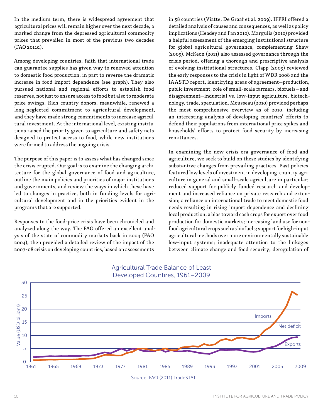In the medium term, there is widespread agreement that agricultural prices will remain higher over the next decade, a marked change from the depressed agricultural commodity prices that prevailed in most of the previous two decades (FAO 2011d).

Among developing countries, faith that international trade can guarantee supplies has given way to renewed attention to domestic food production, in part to reverse the dramatic increase in food import dependence (see graph). They also pursued national and regional efforts to establish food reserves, not just to ensure access to food but also to moderate price swings. Rich country donors, meanwhile, renewed a long-neglected commitment to agricultural development, and they have made strong commitments to increase agricultural investment. At the international level, existing institutions raised the priority given to agriculture and safety nets designed to protect access to food, while new institutions were formed to address the ongoing crisis.

The purpose of this paper is to assess what has changed since the crisis erupted. Our goal is to examine the changing architecture for the global governance of food and agriculture, outline the main policies and priorities of major institutions and governments, and review the ways in which these have led to changes in practice, both in funding levels for agricultural development and in the priorities evident in the programs that are supported.

Responses to the food-price crisis have been chronicled and analyzed along the way. The FAO offered an excellent analysis of the state of commodity markets back in 2004 (FAO 2004), then provided a detailed review of the impact of the 2007-08 crisis on developing countries, based on assessments

in 58 countries (Viatte, De Graaf et al. 2009). IFPRI offered a detailed analysis of causes and consequences, as well as policy implications (Headey and Fan 2010). Margulis (2010) provided a helpful assessment of the emerging institutional structure for global agricultural governance, complementing Shaw (2009). McKeon (2011) also assessed governance through the crisis period, offering a thorough and prescriptive analysis of evolving institutional structures. Clapp (2009) reviewed the early responses to the crisis in light of WDR 2008 and the IAASTD report, identifying areas of agreement—production, public investment, role of small-scale farmers, biofuels—and disagreement—industrial vs. low-input agriculture, biotechnology, trade, speculation. Mousseau (2010) provided perhaps the most comprehensive overview as of 2010, including an interesting analysis of developing countries' efforts to defend their populations from international price spikes and households' efforts to protect food security by increasing remittances.

In examining the new crisis-era governance of food and agriculture, we seek to build on these studies by identifying substantive changes from prevailing practices. Past policies featured low levels of investment in developing-country agriculture in general and small-scale agriculture in particular; reduced support for publicly funded research and development and increased reliance on private research and extension; a reliance on international trade to meet domestic food needs resulting in rising import dependence and declining local production; a bias toward cash crops for export over food production for domestic markets; increasing land use for nonfood agricultural crops such as biofuels; support for high-input agricultural methods over more environmentally sustainable low-input systems; inadequate attention to the linkages between climate change and food security; deregulation of



#### Agricultural Trade Balance of Least Developed Countires, 1961–2009

Source: FAO (2011) TradeSTAT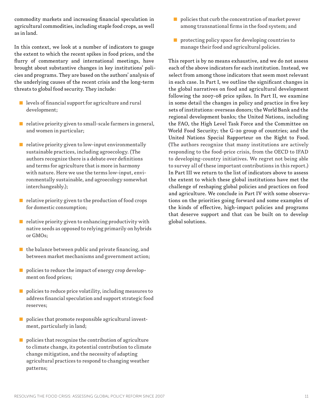commodity markets and increasing financial speculation in agricultural commodities, including staple food crops, as well as in land.

In this context, we look at a number of indicators to gauge the extent to which the recent spikes in food prices, and the flurry of commentary and international meetings, have brought about substantive changes in key institutions' policies and programs. They are based on the authors' analysis of the underlying causes of the recent crisis and the long-term threats to global food security. They include:

- levels of financial support for agriculture and rural development;
- relative priority given to small-scale farmers in general, and women in particular;
- relative priority given to low-input environmentally sustainable practices, including agroecology. (The authors recognize there is a debate over definitions and terms for agriculture that is more in harmony with nature. Here we use the terms low-input, environmentally sustainable, and agroecology somewhat interchangeably.);
- relative priority given to the production of food crops for domestic consumption;
- $\blacksquare$  relative priority given to enhancing productivity with native seeds as opposed to relying primarily on hybrids or GMOs;
- $\blacksquare$  the balance between public and private financing, and between market mechanisms and government action;
- policies to reduce the impact of energy crop development on food prices;
- policies to reduce price volatility, including measures to address financial speculation and support strategic food reserves;
- policies that promote responsible agricultural investment, particularly in land;
- policies that recognize the contribution of agriculture to climate change, its potential contribution to climate change mitigation, and the necessity of adapting agricultural practices to respond to changing weather patterns;
- $\blacksquare$  policies that curb the concentration of market power among transnational firms in the food system; and
- protecting policy space for developing countries to manage their food and agricultural policies.

This report is by no means exhaustive, and we do not assess each of the above indicators for each institution. Instead, we select from among those indicators that seem most relevant in each case. In Part I, we outline the significant changes in the global narratives on food and agricultural development following the 2007-08 price spikes. In Part II, we examine in some detail the changes in policy and practice in five key sets of institutions: overseas donors; the World Bank and the regional development banks; the United Nations, including the FAO, the High Level Task Force and the Committee on World Food Security; the G-20 group of countries; and the United Nations Special Rapporteur on the Right to Food. (The authors recognize that many institutions are actively responding to the food-price crisis, from the OECD to IFAD to developing-country initiatives. We regret not being able to survey all of these important contributions in this report.) In Part III we return to the list of indicators above to assess the extent to which these global institutions have met the challenge of reshaping global policies and practices on food and agriculture. We conclude in Part IV with some observations on the priorities going forward and some examples of the kinds of effective, high-impact policies and programs that deserve support and that can be built on to develop global solutions.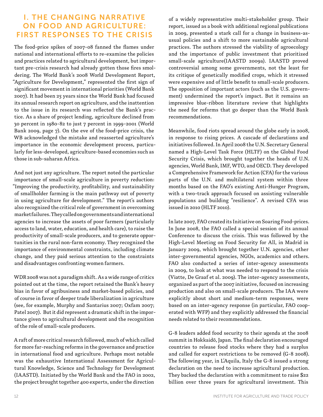# **I. THE CHANGING NARRATIVE** ON FOOD AND AGRICULTURE: FIRST RESPONSES TO THE CRISIS

The food-price spikes of 2007-08 fanned the flames under national and international efforts to re-examine the policies and practices related to agricultural development, but important pre-crisis research had already gotten those fires smoldering. The World Bank's 2008 World Development Report, "Agriculture for Development," represented the first sign of significant movement in international priorities (World Bank 2007). It had been 25 years since the World Bank had focused its annual research report on agriculture, and the inattention to the issue in its research was reflected the Bank's practice. As a share of project lending, agriculture declined from 30 percent in 1980-82 to just 7 percent in 1999-2001 (World Bank 2009, page 7). On the eve of the food-price crisis, the WB acknowledged the mistake and reasserted agriculture's importance in the economic development process, particularly for less-developed, agriculture-based economies such as those in sub-saharan Africa.

And not just any agriculture. The report noted the particular importance of small-scale agriculture in poverty reduction: "Improving the productivity, profitability, and sustainability of smallholder farming is the main pathway out of poverty in using agriculture for development." The report's authors also recognized the critical role of government in overcoming market failures. They called on governments and international agencies to increase the assets of poor farmers (particularly access to land, water, education, and health care), to raise the productivity of small-scale producers, and to generate opportunities in the rural non-farm economy. They recognized the importance of environmental constraints, including climate change, and they paid serious attention to the constraints and disadvantages confronting women farmers.

WDR 2008 was not a paradigm shift. As a wide range of critics pointed out at the time, the report retained the Bank's heavy bias in favor of agribusiness and market-based policies, and of course in favor of deeper trade liberalization in agriculture (see, for example, Murphy and Santarius 2007; Oxfam 2007; Patel 2007). But it did represent a dramatic shift in the importance given to agricultural development and the recognition of the role of small-scale producers.

A raft of more critical research followed, much of which called for more far-reaching reforms in the governance and practice in international food and agriculture. Perhaps most notable was the exhaustive International Assessment for Agricultural Knowledge, Science and Technology for Development (IAASTD). Initiated by the World Bank and the FAO in 2002, the project brought together 400 experts, under the direction

of a widely representative multi-stakeholder group. Their report, issued as a book with additional regional publications in 2009, presented a stark call for a change in business-asusual policies and a shift to more sustainable agricultural practices. The authors stressed the viability of agroecology and the importance of public investment that prioritized small-scale agriculture(IAASTD 2009a). IAASTD proved controversial among some governments, not the least for its critique of genetically modified crops, which it stressed were expensive and of little benefit to small-scale producers. The opposition of important actors (such as the U.S. government) undermined the report's impact. But it remains an impressive blue-ribbon literature review that highlights the need for reforms that go deeper than the World Bank recommendations.

Meanwhile, food riots spread around the globe early in 2008, in response to rising prices. A cascade of declarations and initiatives followed. In April 2008 the U.N. Secretary General named a High-Level Task Force (HLTF) on the Global Food Security Crisis, which brought together the heads of U.N. agencies, World Bank, IMF, WTO, and OECD. They developed a Comprehensive Framework for Action (CFA) for the various parts of the U.N. and multilateral system within three months based on the FAO's existing Anti-Hunger Program, with a two-track approach focused on assisting vulnerable populations and building "resilience". A revised CFA was issued in 2010 (HLTF 2010).

In late 2007, FAO created its Initiative on Soaring Food-prices. In June 2008, the FAO called a special session of its annual Conference to discuss the crisis. This was followed by the High-Level Meeting on Food Security for All, in Madrid in January 2009, which brought together U.N. agencies, other inter-governmental agencies, NGOs, academics and others. FAO also conducted a series of inter-agency assessments in 2009, to look at what was needed to respond to the crisis (Viatte, De Graaf et al. 2009). The inter-agency assessments, organized as part of the 2007 initiative, focused on increasing production and also on small-scale producers. The IAA were explicitly about short and medium-term responses, were based on an inter-agency response (in particular, FAO cooperated with WFP) and they explicitly addressed the financial needs related to their recommendations.

G-8 leaders added food security to their agenda at the 2008 summit in Hokkaidō, Japan. The final declaration encouraged countries to release food stocks where they had a surplus and called for export restrictions to be removed (G-8 2008). The following year, in L'Aquila, Italy the G-8 issued a strong declaration on the need to increase agricultural production. They backed the declaration with a commitment to raise \$22 billion over three years for agricultural investment. This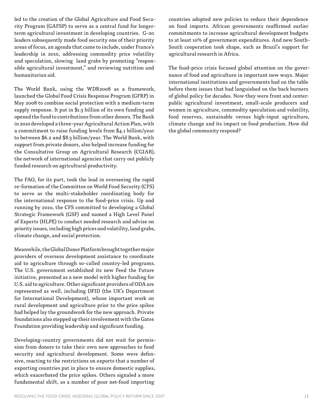led to the creation of the Global Agriculture and Food Security Program (GAFSP) to serve as a central fund for longerterm agricultural investment in developing countries. G-20 leaders subsequently made food security one of their priority areas of focus, an agenda that came to include, under France's leadership in 2010, addressing commodity price volatility and speculation, slowing land grabs by promoting "responsible agricultural investment," and reviewing nutrition and humanitarian aid.

The World Bank, using the WDR2008 as a framework, launched the Global Food Crisis Response Program (GFRP) in May 2008 to combine social protection with a medium-term supply response. It put in \$1.5 billion of its own funding and opened the fund to contributions from other donors. The Bank in 2010 developed a three-year Agricultural Action Plan, with a commitment to raise funding levels from \$4.1 billion/year to between \$6.2 and \$8.3 billion/year. The World Bank, with support from private donors, also helped increase funding for the Consultative Group on Agricultural Research (CGIAR), the network of international agencies that carry out publicly funded research on agricultural productivity.

The FAO, for its part, took the lead in overseeing the rapid re-formation of the Committee on World Food Security (CFS) to serve as the multi-stakeholder coordinating body for the international response to the food-price crisis. Up and running by 2010, the CFS committed to developing a Global Strategic Framework (GSF) and named a High Level Panel of Experts (HLPE) to conduct needed research and advise on priority issues, including high prices and volatility, land grabs, climate change, and social protection.

Meanwhile, the Global Donor Platform brought together major providers of overseas development assistance to coordinate aid to agriculture through so-called country-led programs. The U.S. government established its new Feed the Future initiative, presented as a new model with higher funding for U.S. aid to agriculture. Other significant providers of ODA are represented as well, including DFID (the UK's Department for International Development), whose important work on rural development and agriculture prior to the price spikes had helped lay the groundwork for the new approach. Private foundations also stepped up their involvement with the Gates Foundation providing leadership and significant funding.

Developing-country governments did not wait for permission from donors to take their own new approaches to food security and agricultural development. Some were defensive, reacting to the restrictions on exports that a number of exporting countries put in place to ensure domestic supplies, which exacerbated the price spikes. Others signaled a more fundamental shift, as a number of poor net-food importing

countries adopted new policies to reduce their dependence on food imports. African governments reaffirmed earlier commitments to increase agricultural development budgets to at least 10% of government expenditures. And new South-South cooperation took shape, such as Brazil's support for agricultural research in Africa.

The food-price crisis focused global attention on the governance of food and agriculture in important new ways. Major international institutions and governments had on the table before them issues that had languished on the back burners of global policy for decades. Now they were front and center: public agricultural investment, small-scale producers and women in agriculture, commodity speculation and volatility, food reserves, sustainable versus high-input agriculture, climate change and its impact on food production. How did the global community respond?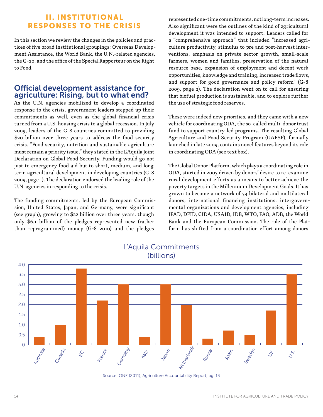# II. INSTITUTIONAL RESPONSES TO THE CRISIS

In this section we review the changes in the policies and practices of five broad institutional groupings: Overseas Development Assistance, the World Bank, the U.N.-related agencies, the G-20, and the office of the Special Rapporteur on the Right to Food.

# Official development assistance for agriculture: Rising, but to what end?

As the U.N. agencies mobilized to develop a coordinated response to the crisis, government leaders stepped up their commitments as well, even as the global financial crisis turned from a U.S. housing crisis to a global recession. In July 2009, leaders of the G-8 countries committed to providing \$20 billion over three years to address the food security crisis. "Food security, nutrition and sustainable agriculture must remain a priority issue," they stated in the L'Aquila Joint Declaration on Global Food Security. Funding would go not just to emergency food aid but to short, medium, and longterm agricultural development in developing countries (G-8 2009, page 1). The declaration endorsed the leading role of the U.N. agencies in responding to the crisis.

The funding commitments, led by the European Commission, United States, Japan, and Germany, were significant (see graph), growing to \$22 billion over three years, though only \$6.1 billion of the pledges represented new (rather than reprogrammed) money (G-8 2010) and the pledges

represented one-time commitments, not long-term increases. Also significant were the outlines of the kind of agricultural development it was intended to support. Leaders called for a "comprehensive approach" that included "increased agriculture productivity, stimulus to pre and post-harvest interventions, emphasis on private sector growth, small-scale farmers, women and families, preservation of the natural resource base, expansion of employment and decent work opportunities, knowledge and training, increased trade flows, and support for good governance and policy reform" (G-8 2009, page 2). The declaration went on to call for ensuring that biofuel production is sustainable, and to explore further the use of strategic food reserves.

These were indeed new priorities, and they came with a new vehicle for coordinating ODA, the so-called multi-donor trust fund to support country-led programs. The resulting Global Agriculture and Food Security Program (GAFSP), formally launched in late 2009, contains novel features beyond its role in coordinating ODA (see text box).

The Global Donor Platform, which plays a coordinating role in ODA, started in 2003 driven by donors' desire to re-examine rural development efforts as a means to better achieve the poverty targets in the Millennium Development Goals. It has grown to become a network of 34 bilateral and multilateral donors, international financing institutions, intergovernmental organizations and development agencies, including IFAD, DFID, CIDA, USAID, IDB, WTO, FAO, ADB, the World Bank and the European Commission. The role of the Platform has shifted from a coordination effort among donors



#### L'Aquila Commitments (billions)

Source: ONE (2011), Agriculture Accountability Report, pg. 13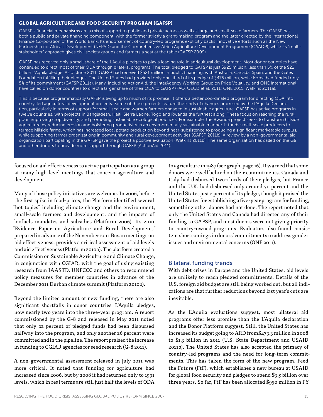#### GLOBAL AGRICULTURE AND FOOD SECURITY PROGRAM (GAFSP)

GAFSP's financial mechanisms are a mix of support to public and private actors as well as large and small-scale farmers. The GAFSP has both a public and private financing component, with the former strictly a grant-making program and the latter directed by the International Finance Corporation of the World Bank. Its endorsement of country-led programs explicitly backs innovative efforts such as the New Partnership for Africa's Development (NEPAD) and the Comprehensive Africa Agriculture Development Programme (CAADP), while its "multistakeholder" approach gives civil society groups and farmers a seat at the table (GAFSP 2009).

GAFSP has received only a small share of the L'Aquila pledges to play a leading role in agricultural development. Most donor countries have continued to direct most of their ODA through bilateral programs. The total pledged to GAFSP is just \$925 million, less than 5% of the \$22 billion L'Aquila pledge. As of June 2011, GAFSP had received \$521 million in public financing, with Australia, Canada, Spain, and the Gates Foundation fulfilling their pledges. The United States had provided only one-third of its pledge of \$475 million, while Korea had funded only 5% of its commitment (GAFSP 2011a). Many, including ActionAid, the InterAgency Working Group on Price Volatility, and ONE International have called on donor countries to direct a larger share of their ODA to GAFSP (FAO, OECD et al. 2011; ONE 2011; Watkins 2011a).

This is because programmatically GAFSP is living up to much of its promise. It offers a better coordinated program for directing ODA into country-led agricultural development projects. Some of those projects feature the kinds of changes promised by the L'Aquila Declaration, particularly in terms of support for small-scale and women farmers engaged in sustainable agriculture. GAFSP has active programs in twelve countries, with projects in Bangladesh, Haiti, Sierra Leone, Togo and Rwanda the furthest along. These focus on reaching the rural poor, improving crop diversity, and promoting sustainable ecological practices. For example, the Rwanda project seeks to transform hillside agriculture by reducing erosion and bolstering productivity in an environmentally sustainable manner. It funds small-scale producers to terrace hillside farms, which has increased local potato production beyond near-subsistence to producing a significant marketable surplus, while supporting farmer organizations in community and rural development activities (GAFSP 2011b). A review by a non-governmental aid organization participating in the GAFSP gave the project a positive evaluation (Watkins 2011b). The same organization has called on the G8 and other donors to provide more support through GAFSP (ActionAid 2011).

focused on aid effectiveness to active participation as a group at many high-level meetings that concern agriculture and development.

Many of those policy initiatives are welcome. In 2006, before the first spike in food-prices, the Platform identified several "hot topics" including climate change and the environment, small-scale farmers and development, and the impacts of biofuels mandates and subsidies (Platform 2006). Its 2010 "Evidence Paper on Agriculture and Rural Development," prepared in advance of the November 2011 Busan meetings on aid effectiveness, provides a critical assessment of aid levels and aid effectiveness (Platform 2010a). The platform created a Commission on Sustainable Agriculture and Climate Change, in conjunction with CGIAR, with the goal of using existing research from IAASTD, UNFCCC and others to recommend policy measures for member countries in advance of the December 2011 Durban climate summit (Platform 2010b).

Beyond the limited amount of new funding, there are also significant shortfalls in donor countries' L'Aquila pledges, now nearly two years into the three-year program. A report commissioned by the G-8 and released in May 2011 noted that only 22 percent of pledged funds had been disbursed halfway into the program, and only another 26 percent were committed and in the pipeline. The report praised the increase in funding to CGIAR agencies for seed research (G-8 2011).

A non-governmental assessment released in July 2011 was more critical. It noted that funding for agriculture had increased since 2006, but by 2008 it had returned only to 1991 levels, which in real terms are still just half the levels of ODA

to agriculture in 1987 (see graph, page 16). It warned that some donors were well behind on their commitments. Canada and Italy had disbursed two-thirds of their pledges, but France and the U.K. had disbursed only around 30 percent and the United States just 2 percent of its pledge, though it praised the United States for establishing a five-year program for funding, something other donors had not done. The report noted that only the United States and Canada had directed any of their funding to GAFSP, and most donors were not giving priority to country-owned programs. Evaluators also found consistent shortcomings in donors' commitments to address gender issues and environmental concerns (ONE 2011).

#### Bilateral funding trends

With debt crises in Europe and the United States, aid levels are unlikely to reach pledged commitments. Details of the U.S. foreign aid budget are still being worked out, but all indications are that further reductions beyond last year's cuts are inevitable.

As the L'Aquila evaluations suggest, most bilateral aid programs offer less promise than the L'Aquila declaration and the Donor Platform suggest. Still, the United States has increased its budget going to ARD from\$473.3 million in 2008 to \$1.3 billion in 2011 (U.S. State Department and USAID 2011b). The United States has also accepted the primacy of country-led programs and the need for long-term commitments. This has taken the form of the new program, Feed the Future (FtF), which establishes a new bureau at USAID for global food security and pledges to spend \$3.5 billion over three years. So far, FtF has been allocated \$950 million in FY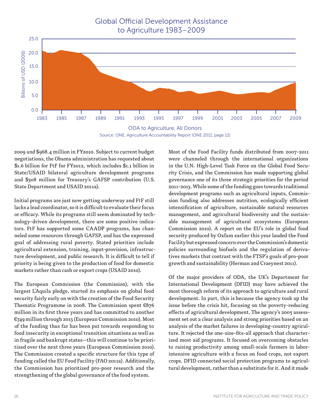# Global Official Development Assistance to Agriculture 1983–2009





2009 and \$968.4 million in FY2010. Subject to current budget negotiations, the Obama administration has requested about \$1.6 billion for FtF for FY2012, which includes \$1.1 billion in State/USAID bilateral agriculture development programs and \$308 million for Treasury's GAFSP contribution (U.S. State Department and USAID 2011a).

Initial programs are just now getting underway and FtF still lacks a lead coordinator, so it is difficult to evaluate their focus or efficacy. While its programs still seem dominated by technology-driven development, there are some positive indicators. FtF has supported some CAADP programs, has channeled some resources through GAFSP, and has the expressed goal of addressing rural poverty. Stated priorities include agricultural extension, training, input-provision, infrastructure development, and public research. It is difficult to tell if priority is being given to the production of food for domestic markets rather than cash or export crops (USAID 2010).

The European Commission (the Commission), with the largest L'Aquila pledge, started its emphasis on global food security fairly early on with the creation of the Food Security Thematic Programme in 2008. The Commission spent €876 million in its first three years and has committed to another €749 million through 2013 (European Commission 2010). Most of the funding thus far has been put towards responding to food insecurity in exceptional transition situations as well as in fragile and bankrupt states—this will continue to be prioritized over the next three years (European Commission 2010). The Commission created a specific structure for this type of funding called the EU Food Facility (FAO 2011a). Additionally, the Commission has prioritized pro-poor research and the strengthening of the global governance of the food system.

Most of the Food Facility funds distributed from 2007-2011 were channeled through the international organizations in the U.N. High-Level Task Force on the Global Food Security Crisis, and the Commission has made supporting global governance one of its three strategic priorities for the period 2011-2013. While some of the funding goes towards traditional development programs such as agricultural inputs, Commission funding also addresses nutrition, ecologically efficient intensification of agriculture, sustainable natural resources management, and agricultural biodiversity and the sustainable management of agricultural ecosystems (European Commission 2010). A report on the EU's role in global food security produced by Oxfam earlier this year lauded the Food Facility but expressed concern over the Commission's domestic policies surrounding biofuels and the regulation of derivatives markets that contrast with the FTSP's goals of pro-poor growth and sustainability (Herman and Craeynest 2011).

Of the major providers of ODA, the UK's Department for International Development (DFID) may have achieved the most thorough reform of its approach to agriculture and rural development. In part, this is because the agency took up the issue before the crisis hit, focusing on the poverty-reducing effects of agricultural development. The agency's 2005 assessment set out a clear analysis and strong priorities based on an analysis of the market failures in developing-country agriculture. It rejected the one-size-fits-all approach that characterized most aid programs. It focused on overcoming obstacles to raising productivity among small-scale farmers in laborintensive agriculture with a focus on food crops, not export crops. DFID connected social protection programs to agricultural development, rather than a substitute for it. And it made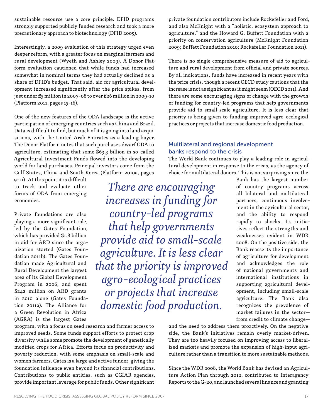sustainable resource use a core principle. DFID programs strongly supported publicly funded research and took a more precautionary approach to biotechnology (DFID 2005).

Interestingly, a 2009 evaluation of this strategy urged even deeper reform, with a greater focus on marginal farmers and rural development (Wyeth and Ashley 2009). A Donor Platform evaluation cautioned that while funds had increased somewhat in nominal terms they had actually declined as a share of DFID's budget. That said, aid for agricultural development increased significantly after the price spikes, from just under £5 million in 2007-08 to over £26 million in 2009-10 (Platform 2011, pages 15-16).

One of the new features of the ODA landscape is the active participation of emerging countries such as China and Brazil. Data is difficult to find, but much of it is going into land acquisitions, with the United Arab Emirates as a leading buyer. The Donor Platform notes that such purchases dwarf ODA to agriculture, estimating that some \$63.5 billion in so-called Agricultural Investment Funds flowed into the developing world for land purchases. Principal investors come from the Gulf States, China and South Korea (Platform 2010a, pages

9-11). At this point it is difficult to track and evaluate other forms of ODA from emerging economies.

Private foundations are also playing a more significant role, led by the Gates Foundation, which has provided \$1.8 billion in aid for ARD since the organization started (Gates Foundation 2011b). The Gates Foundation made Agricultural and Rural Development the largest area of its Global Development Program in 2006, and spent \$242 million on ARD grants in 2010 alone (Gates Foundation 2011a). The Alliance for a Green Revolution in Africa (AGRA) is the largest Gates

program, with a focus on seed research and farmer access to improved seeds. Some funds support efforts to protect crop diversity while some promote the development of genetically modified crops for Africa. Efforts focus on productivity and poverty reduction, with some emphasis on small-scale and women farmers. Gates is a large and active funder, giving the foundation influence even beyond its financial contributions. Contributions to public entities, such as CGIAR agencies, provide important leverage for public funds. Other significant

private foundation contributors include Rockefeller and Ford, and also McKnight with a "holistic, ecosystem approach to agriculture," and the Howard G. Buffett Foundation with a priority on conservation agriculture (McKnight Foundation 2009; Buffett Foundation 2010; Rockefeller Foundation 2011).

There is no single comprehensive measure of aid to agriculture and rural development from official and private sources. By all indications, funds have increased in recent years with the price crisis, though a recent OECD study cautions that the increase is not as significant as it might seem (OECD 2011). And there are some encouraging signs of change with the growth of funding for country-led programs that help governments provide aid to small-scale agriculture. It is less clear that priority is being given to funding improved agro-ecological practices or projects that increase domestic food production.

#### Multilateral and regional development banks respond to the crisis

*There are encouraging* 

*increases in funding for* 

*country-led programs* 

*that help governments* 

*or projects that increase* 

The World Bank continues to play a leading role in agricultural development in response to the crisis, as the agency of choice for multilateral donors. This is not surprising since the

Bank has the largest number of country programs across all bilateral and multilateral partners, continuous involvement in the agricultural sector, and the ability to respond rapidly to shocks. Its initiatives reflect the strengths and weaknesses evident in WDR 2008. On the positive side, the Bank reasserts the importance of agriculture for development and acknowledges the role of national governments and international institutions in supporting agricultural development, including small-scale agriculture. The Bank also recognizes the prevalence of market failures in the sector from credit to climate change *provide aid to small-scale agriculture. It is less clear that the priority is improved agro-ecological practices domestic food production.* 

and the need to address them proactively. On the negative side, the Bank's initiatives remain overly market-driven. They are too heavily focused on improving access to liberalized markets and promote the expansion of high-input agriculture rather than a transition to more sustainable methods.

Since the WDR 2008, the World Bank has devised an Agriculture Action Plan through 2012, contributed to Interagency Reports to the G-20, and launched several finance and granting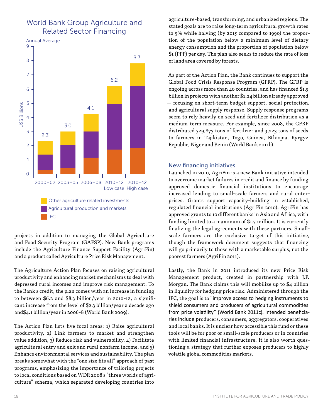# World Bank Group Agriculture and Related Sector Financing



projects in addition to managing the Global Agriculture and Food Security Program (GAFSP). New Bank programs include the Agriculture Finance Support Facility (AgriFin) and a product called Agriculture Price Risk Management.

The Agriculture Action Plan focuses on raising agricultural productivity and enhancing market mechanisms to deal with depressed rural incomes and improve risk management. To the Bank's credit, the plan comes with an increase in funding to between \$6.2 and \$8.3 billion/year in 2010-12, a significant increase from the level of \$2.3 billion/year a decade ago and\$4.1 billion/year in 2006-8 (World Bank 2009).

The Action Plan lists five focal areas: 1) Raise agricultural productivity, 2) Link farmers to market and strengthen value addition, 3) Reduce risk and vulnerability, 4) Facilitate agricultural entry and exit and rural nonfarm income, and 5) Enhance environmental services and sustainability. The plan breaks somewhat with the "one size fits all" approach of past programs, emphasizing the importance of tailoring projects to local conditions based on WDR 2008's "three worlds of agriculture" schema, which separated developing countries into

agriculture-based, transforming, and urbanized regions. The stated goals are to raise long-term agricultural growth rates to 5% while halving (by 2015 compared to 1990) the proportion of the population below a minimum level of dietary energy consumption and the proportion of population below \$1 (PPP) per day. The plan also seeks to reduce the rate of loss of land area covered by forests.

As part of the Action Plan, the Bank continues to support the Global Food Crisis Response Program (GFRP). The GFRP is ongoing across more than 40 countries, and has financed \$1.5 billion in projects with another \$1.24 billion already approved — focusing on short-term budget support, social protection, and agricultural supply response. Supply response programs seem to rely heavily on seed and fertilizer distribution as a medium-term measure. For example, since 2008, the GFRP distributed 529,873 tons of fertilizer and 3,223 tons of seeds to farmers in Tajikistan, Togo, Guinea, Ethiopia, Kyrgyz Republic, Niger and Benin (World Bank 2011b).

#### New financing initiatives

Launched in 2010, AgriFin is a new Bank initiative intended to overcome market failures in credit and finance by funding approved domestic financial institutions to encourage increased lending to small-scale farmers and rural enterprises. Grants support capacity-building in established, regulated financial institutions (AgriFin 2010). AgriFin has approved grants to 10 different banks in Asia and Africa, with funding limited to a maximum of \$1.5 million. It is currently finalizing the legal agreements with these partners. Smallscale farmers are the exclusive target of this initiative, though the framework document suggests that financing will go primarily to those with a marketable surplus, not the poorest farmers (AgriFin 2011).

Lastly, the Bank in 2011 introduced its new Price Risk Management product, created in partnership with J.P. Morgan. The Bank claims this will mobilize up to \$4 billion in liquidity for hedging price risk. Administered through the IFC, the goal is to "improve access to hedging instruments to shield consumers and producers of agricultural commodities from price volatility" (World Bank 2011c). Intended beneficiaries include producers, consumers, aggregators, cooperatives and local banks. It is unclear how accessible this fund or these tools will be for poor or small-scale producers or in countries with limited financial infrastructure. It is also worth questioning a strategy that further exposes producers to highly volatile global commodities markets.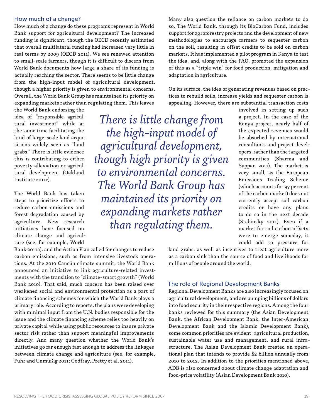#### How much of a change?

How much of a change do these programs represent in World Bank support for agricultural development? The increased funding is significant, though the OECD recently estimated that overall multilateral funding had increased very little in real terms by 2009 (OECD 2011). We see renewed attention to small-scale farmers, though it is difficult to discern from World Bank documents how large a share of its funding is actually reaching the sector. There seems to be little change from the high-input model of agricultural development, though a higher priority is given to environmental concerns. Overall, the World Bank Group has maintained its priority on expanding markets rather than regulating them. This leaves

the World Bank endorsing the idea of "responsible agricultural investment" while at the same time facilitating the kind of large-scale land acquisitions widely seen as "land grabs." There is little evidence this is contributing to either poverty alleviation or agricultural development (Oakland Institute 2011c).

The World Bank has taken steps to prioritize efforts to reduce carbon emissions and forest degradation caused by agriculture. New research initiatives have focused on climate change and agriculture (see, for example, World

*There is little change from the high-input model of agricultural development, though high priority is given to environmental concerns. The World Bank Group has maintained its priority on expanding markets rather than regulating them.* 

Bank 2011a), and the Action Plan called for changes to reduce carbon emissions, such as from intensive livestock operations. At the 2010 Cancún climate summit, the World Bank announced an initiative to link agriculture-related investments with the transition to "climate-smart growth" (World Bank 2010). That said, much concern has been raised over weakened social and environmental protection as a part of climate financing schemes for which the World Bank plays a primary role. According to reports, the plans were developing with minimal input from the U.N. bodies responsible for the issue and the climate financing scheme relies too heavily on private capital while using public resources to insure private sector risk rather than support meaningful improvements directly. And many question whether the World Bank's initiatives go far enough fast enough to address the linkages between climate change and agriculture (see, for example, Fuhr and Unmüßig 2011; Godfray, Pretty et al. 2011).

Many also question the reliance on carbon markets to do so. The World Bank, through its BioCarbon Fund, includes support for agroforestry projects and the development of new methodologies to encourage farmers to sequester carbon on the soil, resulting in offset credits to be sold on carbon markets. It has implemented a pilot program in Kenya to test the idea, and, along with the FAO, promoted the expansion of this as a "triple win" for food production, mitigation and adaptation in agriculture.

On its surface, the idea of generating revenues based on practices to rebuild soils, increase yields and sequester carbon is appealing. However, there are substantial transaction costs

> involved in setting up such a project. In the case of the Kenya project, nearly half of the expected revenues would be absorbed by international consultants and project developers, rather than the targeted communities (Sharma and Suppan 2011). The market is very small, as the European Emissions Trading Scheme (which accounts for 97 percent of the carbon market) does not currently accept soil carbon credits or have any plans to do so in the next decade (Stabinsky 2011). Even if a market for soil carbon offsets were to emerge someday, it could add to pressure for

land grabs, as well as incentives to treat agriculture more as a carbon sink than the source of food and livelihoods for millions of people around the world.

#### The role of Regional Development Banks

Regional Development Banks are also increasingly focused on agricultural development, and are pumping billions of dollars into food security in their respective regions. Among the four banks reviewed for this summary (the Asian Development Bank, the African Development Bank, the Inter-American Development Bank and the Islamic Development Bank), some common priorities are evident: agricultural production, sustainable water use and management, and rural infrastructure. The Asian Development Bank created an operational plan that intends to provide \$2 billion annually from 2010 to 2012. In addition to the priorities mentioned above, ADB is also concerned about climate change adaptation and food-price volatility (Asian Development Bank 2010).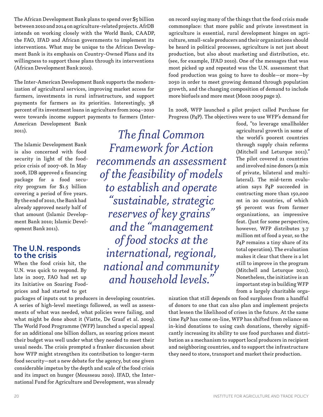The African Development Bank plans to spend over \$5 billion between 2010 and 2014 on agriculture-related projects. AfrDB intends on working closely with the World Bank, CAADP, the FAO, IFAD and African governments to implement its interventions. What may be unique to the African Development Bank is its emphasis on Country-Owned Plans and its willingness to support those plans through its interventions (African Development Bank 2010).

The Inter-American Development Bank supports the modernization of agricultural services, improving market access for farmers, investments in rural infrastructure, and support payments for farmers as its priorities. Interestingly, 38 percent of its investment loans in agriculture from 2004–2010 were towards income support payments to farmers (Inter-

American Development Bank 2011).

The Islamic Development Bank is also concerned with food security in light of the foodprice crisis of 2007-08. In May 2008, IDB approved a financing package for a food security program for \$1.5 billion covering a period of five years. By the end of 2010, the Bank had already approved nearly half of that amount (Islamic Development Bank 2010; Islamic Development Bank 2011).

#### The U.N. responds to the crisis

When the food crisis hit, the U.N. was quick to respond. By late in 2007, FAO had set up its Initiative on Soaring Foodprices and had started to get

packages of inputs out to producers in developing countries. A series of high-level meetings followed, as well as assessments of what was needed, what policies were failing, and what might be done about it (Viatte, De Graaf et al. 2009). The World Food Programme (WFP) launched a special appeal for an additional one billion dollars, as soaring prices meant their budget was well under what they needed to meet their usual needs. The crisis prompted a franker discussion about how WFP might strengthen its contribution to longer-term food security—not a new debate for the agency, but one given considerable impetus by the depth and scale of the food crisis and its impact on hunger (Mousseau 2010). IFAD, the International Fund for Agriculture and Development, was already

on record saying many of the things that the food crisis made commonplace: that more public and private investment in agriculture is essential, rural development hinges on agriculture, small-scale producers and their organizations should be heard in political processes, agriculture is not just about production, but also about marketing and distribution, etc. (see, for example, IFAD 2010). One of the messages that was most picked up and repeated was the U.N. assessment that food production was going to have to double—or more—by 2050 in order to meet growing demand through population growth, and the changing composition of demand to include more biofuels and more meat (Moon 2009 page 2).

In 2008, WFP launched a pilot project called Purchase for Progress (P4P). The objectives were to use WFP's demand for

*The final Common Framework for Action recommends an assessment of the feasibility of models to establish and operate "sustainable, strategic reserves of key grains" and the "management of food stocks at the international, regional, national and community and household levels."* 

food, "to leverage smallholder agricultural growth in some of the world's poorest countries through supply chain reforms (Mitchell and Leturque 2011)." The pilot covered 21 countries and involved nine donors (a mix of private, bilateral and multilateral). The mid-term evaluation says P4P succeeded in contracting more than 150,000 mt in 20 countries, of which 56 percent was from farmer organizations, an impressive feat. (Just for some perspective, however, WFP distributes 3.7 million mt of food a year, so the P4P remains a tiny share of its total operation). The evaluation makes it clear that there is a lot still to improve in the program (Mitchell and Leturque 2011). Nonetheless, the initiative is an important step in building WFP from a largely charitable orga-

nization that still depends on food surpluses from a handful of donors to one that can also plan and implement projects that lessen the likelihood of crises in the future. At the same time P4P has come on-line, WFP has shifted from reliance on in-kind donations to using cash donations, thereby significantly increasing its ability to use food purchases and distribution as a mechanism to support local producers in recipient and neighboring countries, and to support the infrastructure they need to store, transport and market their production.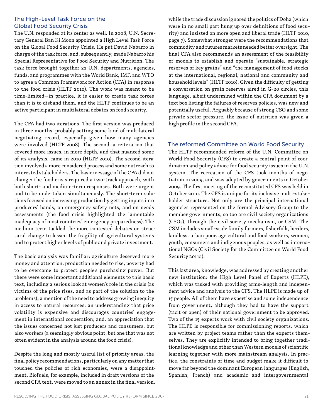#### The High-Level Task Force on the Global Food Security Crisis

The U.N. responded at its center as well. In 2008, U.N. Secretary General Ban Ki Moon appointed a High Level Task Force on the Global Food Security Crisis. He put David Nabarro in charge of the task force, and, subsequently, made Nabarro his Special Representative for Food Security and Nutrition. The task force brought together 22 U.N. departments, agencies, funds, and programmes with the World Bank, IMF, and WTO to agree a Common Framework for Action (CFA) in response to the food crisis (HLTF 2010). The work was meant to be time-limited—in practice, it is easier to create task forces than it is to disband them, and the HLTF continues to be an active participant in multilateral debates on food security.

The CFA had two iterations. The first version was produced in three months, probably setting some kind of multilateral negotiating record, especially given how many agencies were involved (HLTF 2008). The second, a reiteration that covered more issues, in more depth, and that nuanced some of its analysis, came in 2010 (HLTF 2010). The second iteration involved a more considered process and some outreach to interested stakeholders. The basic message of the CFA did not change: the food crisis required a two-track approach, with both short- and medium-term responses. Both were urgent and to be undertaken simultaneously. The short-term solutions focused on increasing production by getting inputs into producers' hands, on emergency safety nets, and on needs assessments (the food crisis highlighted the lamentable inadequacy of most countries' emergency preparedness). The medium term tackled the more contested debates on structural change to lessen the fragility of agricultural systems and to protect higher levels of public and private investment.

The basic analysis was familiar: agriculture deserved more money and attention, production needed to rise, poverty had to be overcome to protect people's purchasing power. But there were some important additional elements to this basic text, including a serious look at women's role in the crisis (as victims of the price rises, and as part of the solution to the problems); a mention of the need to address growing inequity in access to natural resources; an understanding that price volatility is expensive and discourages countries' engagement in international cooperation; and, an appreciation that the issues concerned not just producers and consumers, but also workers (a seemingly obvious point, but one that was not often evident in the analysis around the food crisis).

Despite the long and mostly useful list of priority areas, the final policy recommendations, particularly on any matter that touched the policies of rich economies, were a disappointment. Biofuels, for example, included in draft versions of the second CFA text, were moved to an annex in the final version,

while the trade discussion ignored the politics of Doha (which were in no small part hung up over definitions of food security) and insisted on more open and liberal trade (HLTF 2010, page 7). Somewhat stronger were the recommendations that commodity and futures markets needed better oversight. The final CFA also recommends an assessment of the feasibility of models to establish and operate "sustainable, strategic reserves of key grains" and "the management of food stocks at the international, regional, national and community and household levels" (HLTF 2010). Given the difficulty of getting a conversation on grain reserves aired in G-20 circles, this language, albeit undermined within the CFA document by a text box listing the failures of reserves policies, was new and potentially useful. Arguably because of strong CSO and some private sector pressure, the issue of nutrition was given a high profile in the second CFA.

#### The reformed Committee on World Food Security

The HLTF recommended reform of the U.N. Committee on World Food Security (CFS) to create a central point of coordination and policy advice for food security issues in the U.N. system. The recreation of the CFS took months of negotiation in 2009, and was adopted by governments in October 2009. The first meeting of the reconstituted CFS was held in October 2010. The CFS is unique for its inclusive multi-stakeholder structure. Not only are the principal international agencies represented on the formal Advisory Group to the member governments, so too are civil society organizations (CSOs), through the civil society mechanism, or CSM. The CSM includes small-scale family farmers, fisherfolk, herders, landless, urban poor, agricultural and food workers, women, youth, consumers and indigenous peoples, as well as international NGOs (Civil Society for the Committee on World Food Security 2011a).

This last area, knowledge, was addressed by creating another new institution: the High Level Panel of Experts (HLPE), which was tasked with providing arms-length and independent advice and analysis to the CFS. The HLPE is made up of 15 people. All of them have expertise and some independence from government, although they had to have the support (tacit or open) of their national government to be approved. Two of the 15 experts work with civil society organizations. The HLPE is responsible for commissioning reports, which are written by project teams rather than the experts themselves. They are explicitly intended to bring together traditional knowledge and other than Western models of scientific learning together with more mainstream analysis. In practice, the constraints of time and budget make it difficult to move far beyond the dominant European languages (English, Spanish, French) and academic and intergovernmental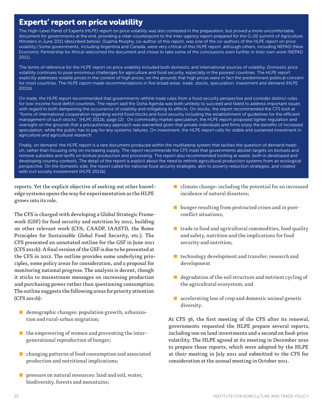# Experts' report on price volatility

The High-Level Panel of Experts (HLPE) report on price volatility was less contested in the preparation, but proved a more uncomfortable document for governments at the end, providing a clear counterpoint to the inter-agency report prepared for the G-20 summit of Agriculture Ministers in June 2011 (described below). (Sophia Murphy, co-author of this report, was one of the co-authors of the HLPE report on price volatility.) Some governments, including Argentina and Canada, were very critical of this HLPE report, although others, including NEPAD (New Economic Partnership for Africa) welcomed the document and chose to take some of the conclusions even further in their own work (NEPAD 2011).

The terms of reference for the HLPE report on price volatility included both domestic and international sources of volatility. Domestic price volatility continues to pose enormous challenges for agriculture and food security, especially in the poorest countries. The HLPE report explicitly addresses volatile prices in the context of high prices, on the grounds that high prices were in fact the predominant political concern for most countries. The HLPE report made recommendations in five broad areas: trade, stocks, speculation, investment and demand (HLPE 2011b).

On trade, the HLPE report recommended that governments rethink trade rules from a food security perspective and consider distinct rules for low-income food deficit countries. The report said the Doha Agenda was both unlikely to succeed and failed to address important issues with regard to both dampening the occurrence of volatility and mitigating its effects. On stocks, the report recommended the CFS look at "forms of international cooperation regarding world food stocks and food security including the establishment of guidelines for the efficient management of such stocks." (HLPE 2011b, page 12). On commodity market speculation, the HLPE report proposed tighter regulation and oversight on the grounds that a precautionary approach was warranted given that private individuals and firms enjoy the benefits of increased speculation, while the public has to pay for any systemic failures. On investment, the HLPE report calls for stable and sustained investment in agriculture and agricultural research.

Finally, on demand: the HLPE report is a rare document produced within the multilateral system that tackles the question of demand headon, rather than focusing only on increasing supply. The report recommends the CFS insist that governments abolish targets on biofuels and remove subsidies and tariffs on biofuel production and processing. The report also recommended looking at waste, both in developed and developing country contexts. The detail of the report is explicit about the need to rethink agricultural production systems from an ecological perspective. On the domestic side, the report called for national food security strategies, akin to poverty reduction strategies, and created with civil society involvement (HLPE 2011b).

reports. Yet the explicit objective of seeking out other knowledge systems opens the way for experimentation as the HLPE grows into its role.

The CFS is charged with developing a Global Strategic Framework (GSF) for food security and nutrition by 2012, building on other relevant work (CFA, CAADP, IAASTD, the Rome Principles for Sustainable Global Food Security, etc.). The CFS presented an annotated outline for the GSF in June 2011 (CFS 2011b). A final version of the GSF is due to be presented at the CFS in 2012. The outline provides some underlying principles, some policy areas for consideration, and a proposal for monitoring national progress. The analysis is decent, though it sticks to mainstream messages on increasing production and purchasing power rather than questioning consumption. The outline suggests the following areas for priority attention (CFS 2011b):

- demographic changes: population growth, urbanization and rural-urban migration;
- the empowering of women and preventing the intergenerational reproduction of hunger;
- changing patterns of food consumption and associated production and nutritional implications;
- $\blacksquare$  pressure on natural resources: land and soil, water, biodiversity, forests and mountains;
- $\blacksquare$  climate change: including the potential for an increased incidence of natural disasters;
- hunger resulting from protracted crises and in postconflict situations;
- trade in food and agricultural commodities, food quality and safety, nutrition and the implications for food security and nutrition;
- $\blacksquare$  technology development and transfer; research and development
- degradation of the soil structure and nutrient cycling of the agricultural ecosystem; and
- $\blacksquare$  accelerating loss of crop and domestic animal genetic diversity.

At CFS 36, the first meeting of the CFS after its renewal, governments requested the HLPE prepare several reports, including one on land investments and a second on food-price volatility. The HLPE agreed at its meeting in December 2010 to prepare those reports, which were adopted by the HLPE at their meeting in July 2011 and submitted to the CFS for consideration at the annual meeting in October 2011.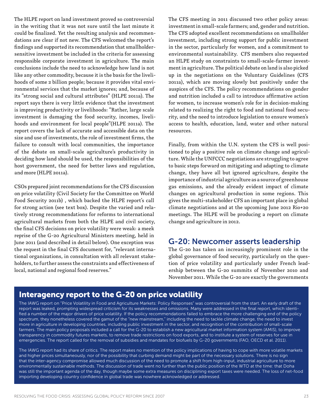The HLPE report on land investment proved so controversial in the writing that it was not sure until the last minute it could be finalized. Yet the resulting analysis and recommendations are clear if not new. The CFS welcomed the report's findings and supported its recommendation that smallholdersensitive investment be included in the criteria for assessing responsible corporate investment in agriculture. The main conclusions include the need to acknowledge how land is not like any other commodity, because it is the basis for the livelihoods of some 2 billion people; because it provides vital environmental services that the market ignores; and, because of its "strong social and cultural attributes" (HLPE 2011a). The report says there is very little evidence that the investment is improving productivity or livelihoods: "Rather, large scale investment is damaging the food security, incomes, livelihoods and environment for local people"(HLPE 2011a). The report covers the lack of accurate and accessible data on the size and use of investments, the role of investment firms, the failure to consult with local communities, the importance of the debate on small-scale agriculture's productivity in deciding how land should be used, the responsibilities of the host government, the need for better laws and regulation, and more (HLPE 2011a).

CSOs prepared joint recommendations for the CFS discussion on price volatility (Civil Society for the Committee on World Food Security 2011b) , which backed the HLPE report's call for strong action (see text box). Despite the varied and relatively strong recommendations for reforms to international agricultural markets from both the HLPE and civil society, the final CFS decisions on price volatility were weak: a meek reprise of the G-20 Agricultural Ministers meeting, held in June 2011 (and described in detail below). One exception was the request in the final CFS document for, "relevant international organizations, in consultation with all relevant stakeholders, to further assess the constraints and effectiveness of local, national and regional food reserves."

The CFS meeting in 2011 discussed two other policy areas: investment in small-scale farmers; and, gender and nutrition. The CFS adopted excellent recommendations on smallholder investment, including strong support for public investment in the sector, particularly for women, and a commitment to environmental sustainability. CFS members also requested an HLPE study on constraints to small-scale-farmer investment in agriculture. The political debate on land is also picked up in the negotiations on the Voluntary Guidelines (CFS 2011a), which are moving slowly but positively under the auspices of the CFS. The policy recommendations on gender and nutrition included a call to introduce affirmative action for women, to increase women's role for in decision-making related to realizing the right to food and national food security, and the need to introduce legislation to ensure women's access to health, education, land, water and other natural resources.

Finally, from within the U.N. system the CFS is well positioned to play a positive role on climate change and agriculture. While the UNFCCC negotiations are struggling to agree to basic steps forward on mitigating and adapting to climate change, they have all but ignored agriculture, despite the importance of industrial agriculture as a source of greenhouse gas emissions, and the already evident impact of climate changes on agricultural production in some regions. This gives the multi-stakeholder CFS an important place in global climate negotiations and at the upcoming June 2012 Rio+20 meetings. The HLPE will be producing a report on climate change and agriculture in 2012.

# G-20: Newcomer asserts leadership

The G-20 has taken an increasingly prominent role in the global governance of food security, particularly on the question of price volatility and particularly under French leadership between the G-20 summits of November 2010 and November 2011. While the G-20 are exactly the governments

# Interagency report to the G-20 on price volatility

The IAWG report on "Price Volatility in Food and Agriculture Markets: Policy Responses" was controversial from the start. An early draft of the report was leaked, prompting widespread criticism for its weaknesses and omissions. Many were addressed in the final report, which identified a number of the major drivers of price volatility. If the policy recommendations failed to embrace the more challenging end of the policy spectrum, they nonetheless covered the gamut of the "new mainstream," including the need to tackle climate change, the need to invest more in agriculture in developing countries, including public investment in the sector, and recognition of the contribution of small-scale farmers. The main policy proposals included a call for the G-20 to establish a new agricultural market information system (AMIS), to improve transparency in commodity futures markets, to remove trade restrictions on food exports, and to institute a system of reserves for use in emergencies. The report called for the removal of subsidies and mandates for biofuels by G-20 governments (FAO, OECD et al. 2011).

The IAWG report had its share of critics. The report makes no mention of the policy implications of having to cope with more volatile markets and higher prices simultaneously, nor of the possibility that curbing demand might be part of the necessary solutions. There is no sign that the inter-agency compromise allowed much discussion of the need to promote a shift from high-input, industrial agriculture to more environmentally sustainable methods. The discussion of trade went no further than the public position of the WTO at the time: that Doha was still the important agenda of the day, though maybe some extra measures on disciplining export taxes were needed. The loss of net-food importing developing country confidence in global trade was nowhere acknowledged or addressed.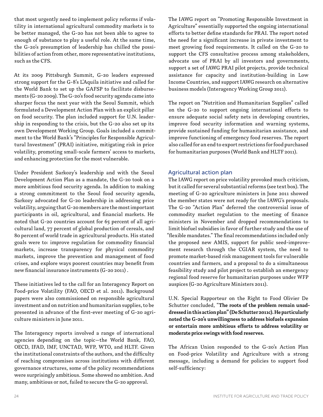that most urgently need to implement policy reforms if volatility in international agricultural commodity markets is to be better managed, the G-20 has not been able to agree to enough of substance to play a useful role. At the same time, the G-20's presumption of leadership has chilled the possibilities of action from other, more representative institutions, such as the CFS.

At its 2009 Pittsburgh Summit, G-20 leaders expressed strong support for the G-8's L'Aquila initiative and called for the World Bank to set up the GAFSP to facilitate disbursements (G-20 2009). The G-20's food security agenda came into sharper focus the next year with the Seoul Summit, which formulated a Development Action Plan with an explicit pillar on food security. The plan included support for U.N. leadership in responding to the crisis, but the G-20 also set up its own Development Working Group. Goals included a commitment to the World Bank's "Principles for Responsible Agricultural Investment" (PRAI) initiative, mitigating risk in price volatility, promoting small-scale farmers' access to markets, and enhancing protection for the most vulnerable.

Under President Sarkozy's leadership and with the Seoul Development Action Plan as a mandate, the G-20 took on a more ambitious food security agenda. In addition to making a strong commitment to the Seoul food security agenda, Sarkozy advocated for G-20 leadership in addressing price volatility, arguing that G-20 members are the most important participants in oil, agricultural, and financial markets. He noted that G-20 countries account for 65 percent of all agricultural land, 77 percent of global production of cereals, and 80 percent of world trade in agricultural products. His stated goals were to: improve regulation for commodity financial markets, increase transparency for physical commodity markets, improve the prevention and management of food crises, and explore ways poorest countries may benefit from new financial insurance instruments (G-20 2011) .

These initiatives led to the call for an Interagency Report on Food-price Volatility (FAO, OECD et al. 2011)**.** Background papers were also commissioned on responsible agricultural investment and on nutrition and humanitarian supplies, to be presented in advance of the first-ever meeting of G-20 agriculture ministers in June 2011.

The Interagency reports involved a range of international agencies depending on the topic—the World Bank, FAO, OECD, IFAD, IMF, UNCTAD, WFP, WTO, and HLTF. Given the institutional constraints of the authors, and the difficulty of reaching compromises across institutions with different governance structures, some of the policy recommendations were surprisingly ambitious. Some showed no ambition. And many, ambitious or not, failed to secure the G-20 approval.

The IAWG report on "Promoting Responsible Investment in Agriculture" essentially supported the ongoing international efforts to better define standards for PRAI. The report noted the need for a significant increase in private investment to meet growing food requirements. It called on the G-20 to support the CFS consultative process among stakeholders, advocate use of PRAI by all investors and governments, support a set of IAWG PRAI pilot projects, provide technical assistance for capacity and institution-building in Low Income Countries, and support IAWG research on alternative business models (Interagency Working Group 2011).

The report on "Nutrition and Humanitarian Supplies" called on the G-20 to support ongoing international efforts to ensure adequate social safety nets in developing countries, improve food security information and warning systems, provide sustained funding for humanitarian assistance, and improve functioning of emergency food reserves. The report also called for an end to export restrictions for food purchased for humanitarian purposes (World Bank and HLTF 2011).

#### Agricultural action plan

The IAWG report on price volatility provoked much criticism, but it called for several substantial reforms (see text box). The meeting of G-20 agriculture ministers in June 2011 showed the member states were not ready for the IAWG's proposals. The G-20 "Action Plan" deferred the controversial issue of commodity market regulation to the meeting of finance ministers in November and dropped recommendations to limit biofuel subsidies in favor of further study and the use of "flexible mandates." The final recommendations included only the proposed new AMIS, support for public seed-improvement research through the CGIAR system, the need to promote market-based risk management tools for vulnerable countries and farmers, and a proposal to do a simultaneous feasibility study and pilot project to establish an emergency regional food reserve for humanitarian purposes under WFP auspices (G-20 Agriculture Ministers 2011).

U.N. Special Rapporteur on the Right to Food Olivier De Schutter concluded, "**The roots of the problem remain unaddressed in this action plan" (De Schutter 2011c). He particularly noted the G-20's unwillingness to address biofuels expansion or entertain more ambitious efforts to address volatility or moderate price swings with food reserves.**

The African Union responded to the G-20's Action Plan on Food-price Volatility and Agriculture with a strong message, including a demand for policies to support food self-sufficiency: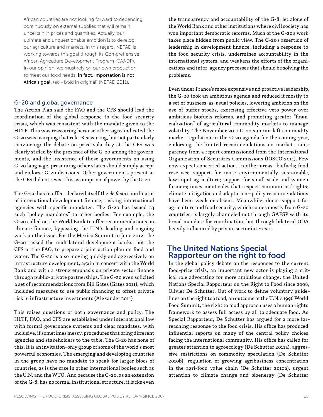African countries are not looking forward to depending continuously on external supplies that will remain uncertain in prices and quantities. Actually, our ultimate and unquestionable ambition is to develop our agriculture and markets. In this regard, NEPAD is working towards this goal through its Comprehensive African Agriculture Development Program (CAADP). In our opinion, we must rely on our own production to meet our food needs. In fact, importation is not Africa's goal. (ed - bold in original) (NEPAD 2011).

#### G-20 and global governance

The Action Plan said the FAO and the CFS should lead the coordination of the global response to the food security crisis, which was consistent with the mandate given to the HLTF. This was reassuring because other signs indicated the G-20 was usurping that role. Reassuring, but not particularly convincing: the debate on price volatility at the CFS was clearly stifled by the presence of the G-20 among the governments, and the insistence of those governments on using G-20 language, presuming other states should simply accept and endorse G-20 decisions. Other governments present at the CFS did not resist this assumption of power by the G-20.

The G-20 has in effect declared itself the *de facto* coordinator of international development finance, tasking international agencies with specific mandates. The G-20 has issued 23 such "policy mandates" to other bodies. For example, the G-20 called on the World Bank to offer recommendations on climate finance, bypassing the U.N.'s leading and ongoing work on the issue. For the Mexico Summit in June 2012, the G-20 tasked the multilateral development banks, not the CFS or the FAO, to prepare a joint action plan on food and water. The G-20 is also moving quickly and aggressively on infrastructure development, again in concert with the World Bank and with a strong emphasis on private sector finance through public-private partnerships. The G-20 even solicited a set of recommendations from Bill Gates (Gates 2011), which included measures to use public financing to offset private risk in infrastructure investments (Alexander 2011)

This raises questions of both governance and policy. The HLTF, FAO, and CFS are established under international law with formal governance systems and clear mandates, with inclusive, if sometimes messy, procedures that bring different agencies and stakeholders to the table. The G-20 has none of this. It is an invitation-only group of some of the world's most powerful economies. The emerging and developing countries in the group have no mandate to speak for larger blocs of countries, as is the case in other international bodies such as the U.N. and the WTO. And because the G-20, as an extension of the G-8, has no formal institutional structure, it lacks even

the transparency and accountability of the G-8, let alone of the World Bank and other institutions where civil society has won important democratic reforms. Much of the G-20's work takes place hidden from public view. The G-20's assertion of leadership in development finance, including a response to the food security crisis, undermines accountability in the international system, and weakens the efforts of the organizations and inter-agency processes that should be solving the problems.

Even under France's more expansive and proactive leadership, the G-20 took an ambitious agenda and reduced it mostly to a set of business-as-usual policies, lowering ambition on the use of buffer stocks, exercising effective veto power over ambitious biofuels reforms, and promoting greater "financialization" of agricultural commodity markets to manage volatility. The November 2011 G-20 summit left commodity market regulation in the G-20 agenda for the coming year, endorsing the limited recommendations on market transparency from a report commissioned from the International Organization of Securities Commissions (IOSCO 2011). Few now expect concerted action. In other areas—biofuels; food reserves; support for more environmentally sustainable, low-input agriculture; support for small-scale and women farmers; investment rules that respect communities' rights; climate mitigation and adaptation—policy recommendations have been weak or absent. Meanwhile, donor support for agriculture and food security, which comes mostly from G-20 countries, is largely channeled not through GAFSP with its broad mandate for coordination, but through bilateral ODA heavily influenced by private sector interests.

#### The United Nations Special Rapporteur on the right to food

In the global policy debate on the responses to the current food-price crisis, an important new actor is playing a critical role advocating for more ambitious change: the United Nations Special Rapporteur on the Right to Food since 2008, Olivier De Schutter. Out of work to define voluntary guidelines on the right too food, an outcome of the U.N.'s 1996 World Food Summit, the right to food approach uses a human rights framework to assess full access by all to adequate food. As Special Rapporteur, De Schutter has argued for a more farreaching response to the food crisis. His office has produced influential reports on many of the central policy choices facing the international community. His office has called for greater attention to agroecology (De Schutter 2011a), aggressive restrictions on commodity speculation (De Schutter 2010b), regulation of growing agribusiness concentration in the agri-food value chain (De Schutter 2010a), urgent attention to climate change and bioenergy (De Schutter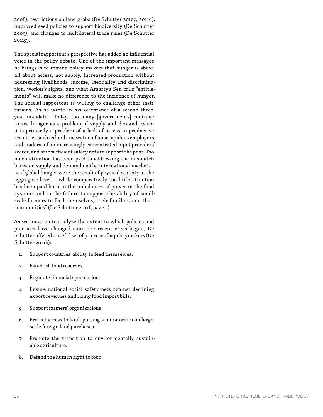2008), restrictions on land grabs (De Schutter 2010c; 2011d), improved seed policies to support biodiversity (De Schutter 2009), and changes to multilateral trade rules (De Schutter 2011g).

The special rapporteur's perspective has added an influential voice in the policy debate. One of the important messages he brings is to remind policy-makers that hunger is above all about access, not supply. Increased production without addressing livelihoods, income, inequality and discrimination, worker's rights, and what Amartya Sen calls "entitlements" will make no difference to the incidence of hunger. The special rapporteur is willing to challenge other institutions. As he wrote in his acceptance of a second threeyear mandate: "Today, too many [governments] continue to see hunger as a problem of supply and demand, when it is primarily a problem of a lack of access to productive resources such as land and water, of unscrupulous employers and traders, of an increasingly concentrated input providers' sector, and of insufficient safety nets to support the poor. Too much attention has been paid to addressing the mismatch between supply and demand on the international markets – as if global hunger were the result of physical scarcity at the aggregate level – while comparatively too little attention has been paid both to the imbalances of power in the food systems and to the failure to support the ability of smallscale farmers to feed themselves, their families, and their communities" (De Schutter 2011f, page 2)

As we move on to analyze the extent to which policies and practices have changed since the recent crisis began, De Schutter offered a useful set of priorities for policymakers (De Schutter 2011b):

- 1. Support countries' ability to feed themselves.
- 2. Establish food reserves.
- 3. Regulate financial speculation.
- 4. Ensure national social safety nets against declining export revenues and rising food import bills.
- 5. Support farmers' organizations.
- 6. Protect access to land, putting a moratorium on largescale foreign land purchases.
- 7. Promote the transition to environmentally sustainable agriculture.
- 8. Defend the human right to food.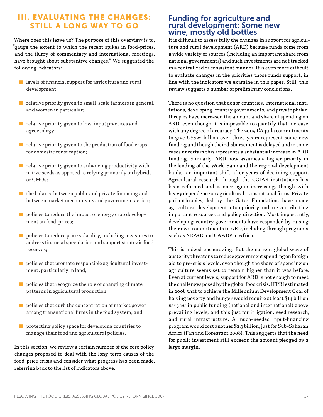# III. EVALUATING THE CHANGES: STILL A LONG WAY TO GO

Where does this leave us? The purpose of this overview is to, "gauge the extent to which the recent spikes in food-prices, and the flurry of commentary and international meetings, have brought about substantive changes." We suggested the following indicators:

- levels of financial support for agriculture and rural development;
- $\blacksquare$  relative priority given to small-scale farmers in general, and women in particular;
- relative priority given to low-input practices and agroecology;
- relative priority given to the production of food crops for domestic consumption;
- relative priority given to enhancing productivity with native seeds as opposed to relying primarily on hybrids or GMOs;
- $\blacksquare$  the balance between public and private financing and between market mechanisms and government action;
- policies to reduce the impact of energy crop development on food-prices;
- policies to reduce price volatility, including measures to address financial speculation and support strategic food reserves;
- policies that promote responsible agricultural investment, particularly in land;
- policies that recognize the role of changing climate patterns in agricultural production;
- policies that curb the concentration of market power among transnational firms in the food system; and
- protecting policy space for developing countries to manage their food and agricultural policies.

In this section, we review a certain number of the core policy changes proposed to deal with the long-term causes of the food-price crisis and consider what progress has been made, referring back to the list of indicators above.

#### Funding for agriculture and rural development: Some new wine, mostly old bottles

It is difficult to assess fully the changes in support for agriculture and rural development (ARD) because funds come from a wide variety of sources (including an important share from national governments) and such investments are not tracked in a centralized or consistent manner. It is even more difficult to evaluate changes in the priorities those funds support, in line with the indicators we examine in this paper. Still, this review suggests a number of preliminary conclusions.

There is no question that donor countries, international institutions, developing-country governments, and private philanthropies have increased the amount and share of spending on ARD, even though it is impossible to quantify that increase with any degree of accuracy. The 2009 L'Aquila commitments to give US\$22 billion over three years represent some new funding and though their disbursement is delayed and in some cases uncertain this represents a substantial increase in ARD funding. Similarly, ARD now assumes a higher priority in the lending of the World Bank and the regional development banks, an important shift after years of declining support. Agricultural research through the CGIAR institutions has been reformed and is once again increasing, though with heavy dependence on agricultural transnational firms. Private philanthropies, led by the Gates Foundation, have made agricultural development a top priority and are contributing important resources and policy direction. Most importantly, developing-country governments have responded by raising their own commitments to ARD, including through programs such as NEPAD and CAADP in Africa.

This is indeed encouraging. But the current global wave of austerity threatens to reduce government spending on foreign aid to pre-crisis levels, even though the share of spending on agriculture seems set to remain higher than it was before. Even at current levels, support for ARD is not enough to meet the challenges posed by the global food crisis. IFPRI estimated in 2008 that to achieve the Millennium Development Goal of halving poverty and hunger would require at least \$14 billion *per year* in public funding (national and international) above prevailing levels, and this just for irrigation, seed research, and rural infrastructure. A much-needed input-financing program would cost another \$2.3 billion, just for Sub-Saharan Africa (Fan and Rosegrant 2008). This suggests that the need for public investment still exceeds the amount pledged by a large margin.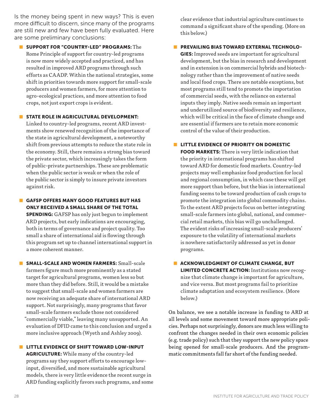Is the money being spent in new ways? This is even more difficult to discern, since many of the programs are still new and few have been fully evaluated. Here are some preliminary conclusions:

**BUPPORT FOR "COUNTRY-LED" PROGRAMS:** The Rome Principle of support for country-led programs is now more widely accepted and practiced, and has resulted in improved ARD programs through such efforts as CAADP. Within the national strategies, some shift in priorities towards more support for small-scale producers and women farmers, for more attention to agro-ecological practices, and more attention to food crops, not just export crops is evident.

#### **STATE ROLE IN AGRICULTURAL DEVELOPMENT:**

Linked to country-led programs, recent ARD investments show renewed recognition of the importance of the state in agricultural development, a noteworthy shift from previous attempts to reduce the state role in the economy. Still, there remains a strong bias toward the private sector, which increasingly takes the form of public-private partnerships. These are problematic when the public sector is weak or when the role of the public sector is simply to insure private investors against risk.

- **B** GAFSP OFFERS MANY GOOD FEATURES BUT HAS ONLY RECEIVED A SMALL SHARE OF THE TOTAL SPENDING: GAFSP has only just begun to implement ARD projects, but early indications are encouraging, both in terms of governance and project quality. Too small a share of international aid is flowing through this program set up to channel international support in a more coherent manner.
- SMALL-SCALE AND WOMEN FARMERS: Small-scale farmers figure much more prominently as a stated target for agricultural programs, women less so but more than they did before. Still, it would be a mistake to suggest that small-scale and women farmers are now receiving an adequate share of international ARD support. Not surprisingly, many programs that favor small-scale farmers exclude those not considered "commercially viable," leaving many unsupported. An evaluation of DFID came to this conclusion and urged a more inclusive approach (Wyeth and Ashley 2009).
- **EXTITLE EVIDENCE OF SHIFT TOWARD LOW-INPUT** AGRICULTURE: While many of the country-led programs say they support efforts to encourage lowinput, diversified, and more sustainable agricultural models, there is very little evidence the recent surge in ARD funding explicitly favors such programs, and some

clear evidence that industrial agriculture continues to command a significant share of the spending. (More on this below.)

#### **E** PREVAILING BIAS TOWARD EXTERNAL TECHNOLO-

GIES: Improved seeds are important for agricultural development, but the bias in research and development and in extension is on commercial hybrids and biotechnology rather than the improvement of native seeds and local food crops. There are notable exceptions, but most programs still tend to promote the importation of commercial seeds, with the reliance on external inputs they imply. Native seeds remain an important and underutilized source of biodiversity and resilience, which will be critical in the face of climate change and are essential if farmers are to retain more economic control of the value of their production.

**E** LITTLE EVIDENCE OF PRIORITY ON DOMESTIC

FOOD MARKETS: There is very little indication that the priority in international programs has shifted toward ARD for domestic food markets. Country-led projects may well emphasize food production for local and regional consumption, in which case these will get more support than before, but the bias in international funding seems to be toward production of cash crops to promote the integration into global commodity chains. To the extent ARD projects focus on better integrating small-scale farmers into global, national, and commercial retail markets, this bias will go unchallenged. The evident risks of increasing small-scale producers' exposure to the volatility of international markets is nowhere satisfactorily addressed as yet in donor programs.

**E** ACKNOWLEDGMENT OF CLIMATE CHANGE, BUT LIMITED CONCRETE ACTION: Institutions now recognize that climate change is important for agriculture, and vice versa. But most programs fail to prioritize climate adaptation and ecosystem resilience. (More below.)

On balance, we see a notable increase in funding to ARD at all levels and some movement toward more appropriate policies. Perhaps not surprisingly, donors are much less willing to confront the changes needed in their own economic policies (e.g. trade policy) such that they support the new policy space being opened for small-scale producers. And the programmatic commitments fall far short of the funding needed.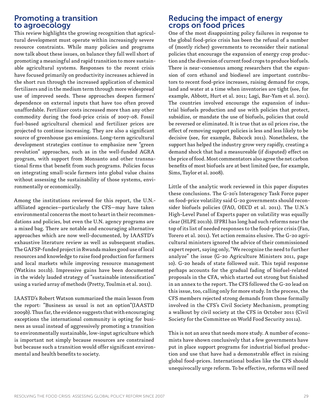## Promoting a transition to agroecology

This review highlights the growing recognition that agricultural development must operate within increasingly severe resource constraints. While many policies and programs now talk about these issues, on balance they fall well short of promoting a meaningful and rapid transition to more sustainable agricultural systems. Responses to the recent crisis have focused primarily on productivity increases achieved in the short run through the increased application of chemical fertilizers and in the medium term through more widespread use of improved seeds. These approaches deepen farmers' dependence on external inputs that have too often proved unaffordable. Fertilizer costs increased more than any other commodity during the food-price crisis of 2007-08. Fossil fuel-based agricultural chemical and fertilizer prices are projected to continue increasing. They are also a significant source of greenhouse gas emissions. Long-term agricultural development strategies continue to emphasize new "green revolution" approaches, such as in the well-funded AGRA program, with support from Monsanto and other transnational firms that benefit from such programs. Policies focus on integrating small-scale farmers into global value chains without assessing the sustainability of those systems, environmentally or economically.

Among the institutions reviewed for this report, the U.N. affiliated agencies—particularly the CFS—may have taken environmental concerns the most to heart in their recommendations and policies, but even the U.N. agency programs are a mixed bag. There are notable and encouraging alternative approaches which are now well-documented, by IAASTD's exhaustive literature review as well as subsequent studies. The GAFSP-funded project in Rwanda makes good use of local resources and knowledge to raise food production for farmers and local markets while improving resource management (Watkins 2011b). Impressive gains have been documented in the widely lauded strategy of "sustainable intensification" using a varied array of methods (Pretty, Toulmin et al. 2011).

IAASTD's Robert Watson summarized the main lesson from the report: "Business as usual is not an option"(IAASTD 2009b). Thus far, the evidence suggests that with encouraging exceptions the international community is opting for business as usual instead of aggressively promoting a transition to environmentally sustainable, low-input agriculture which is important not simply because resources are constrained but because such a transition would offer significant environmental and health benefits to society.

# Reducing the impact of energy crops on food prices

One of the most disappointing policy failures in response to the global food-price crisis has been the refusal of a number of (mostly richer) governments to reconsider their national policies that encourage the expansion of energy crop production and the diversion of current food crops to produce biofuels. There is near-consensus among researchers that the expansion of corn ethanol and biodiesel are important contributors to recent food-price increases, raising demand for crops, land and water at a time when inventories are tight (see, for example, Abbott, Hurt et al. 2011; Lagi, Bar-Yam et al. 2011). The countries involved encourage the expansion of industrial biofuels production and use with policies that protect, subsidize, or mandate the use of biofuels, policies that could be reversed or eliminated. It is true that as oil prices rise, the effect of removing support policies is less and less likely to be decisive (see, for example, Babcock 2011). Nonetheless, the support has helped the industry grow very rapidly, creating a demand shock that had a measureable (if disputed) effect on the price of food. Most commentators also agree the net carbon benefits of most biofuels are at best limited (see, for example, Sims, Taylor et al. 2008).

Little of the analytic work reviewed in this paper disputes these conclusions. The G-20's Interagency Task Force paper on food-price volatility said G-20 governments should reconsider biofuels policies (FAO, OECD et al. 2011). The U.N.'s High-Level Panel of Experts paper on volatility was equally clear (HLPE 2011b). IFPRI has long had such reforms near the top of its list of needed responses to the food-price crisis (Fan, Torero et al. 2011). Yet action remains elusive. The G-20 agricultural ministers ignored the advice of their commissioned expert report, saying only, "We recognize the need to further analyze" the issue (G-20 Agriculture Ministers 2011, page 10). G-20 heads of state followed suit. This tepid response perhaps accounts for the gradual fading of biofuel-related proposals in the CFA, which started out strong but finished in an annex to the report. The CFS followed the G-20 lead on this issue, too, calling only for more study. In the process, the CFS members rejected strong demands from those formally involved in the CFS's Civil Society Mechanism, prompting a walkout by civil society at the CFS in October 2011 (Civil Society for the Committee on World Food Security 2011a).

This is not an area that needs more study. A number of economists have shown conclusively that a few governments have put in place support programs for industrial biofuel production and use that have had a demonstrable effect in raising global food-prices. International bodies like the CFS should unequivocally urge reform. To be effective, reforms will need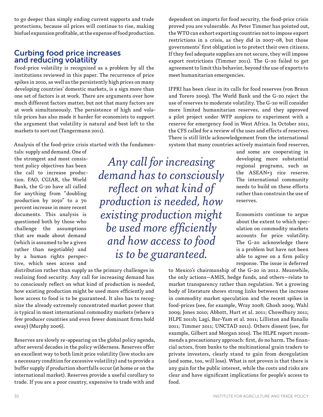to go deeper than simply ending current supports and trade protections, because oil prices will continue to rise, making biofuel expansion profitable, at the expense of food production.

## Curbing food price increases and reducing volatility

Food-price volatility is recognized as a problem by all the institutions reviewed in this paper. The recurrence of price spikes in 2010, as well as the persistently high prices on many developing countries' domestic markets, is a sign more than one set of factors is at work. There are arguments over how much different factors matter, but not that many factors are at work simultaneously. The persistence of high and volatile prices has also made it harder for economists to support the argument that volatility is natural and best left to the markets to sort out (Tangermann 2011).

Analysis of the food-price crisis started with the fundamen-

tals: supply and demand. One of the strongest and most consistent policy objectives has been the call to increase production. FAO, CGIAR, the World Bank, the G-20 have all called for anything from "doubling production by 2050" to a 70 percent increase in more recent documents. This analysis is questioned both by those who challenge the assumptions that are made about demand (which is assumed to be a given rather than negotiable) and by a human rights perspective, which sees access and

*Any call for increasing demand has to consciously reflect on what kind of production is needed, how existing production might be used more efficiently and how access to food is to be guaranteed.*

distribution rather than supply as the primary challenges in realizing food security. Any call for increasing demand has to consciously reflect on what kind of production is needed, how existing production might be used more efficiently and how access to food is to be guaranteed. It also has to recognize the already extremely concentrated market power that is typical in most international commodity markets (where a few producer countries and even fewer dominant firms hold sway) (Murphy 2006).

Reserves are slowly re-appearing on the global policy agenda, after several decades in the policy wilderness. Reserves offer an excellent way to both limit price volatility (low stocks are a necessary condition for excessive volatility) and to provide a buffer supply if production shortfalls occur (at home or on the international market). Reserves provide a useful corollary to trade. If you are a poor country, expensive to trade with and

dependent on imports for food security, the food-price crisis proved you are vulnerable. As Peter Timmer has pointed out, the WTO can exhort exporting countries not to impose export restrictions in a crisis, as they did in 2007-08, but those governments' first obligation is to protect their own citizens. If they feel adequate supplies are not secure, they will impose export restrictions (Timmer 2011). The G-20 failed to get agreement to limit this behavior, beyond the use of exports to meet humanitarian emergencies.

IFPRI has been clear in its calls for food reserves (von Braun and Torero 2009). The World Bank and the G-20 reject the use of reserves to moderate volatility. The G-20 will consider more limited humanitarian reserves, and they approved a pilot project under WFP auspices to experiment with a reserve for emergency food in West Africa. In October 2011, the CFS called for a review of the uses and effects of reserves. There is still little acknowledgement from the international system that many countries actively maintain food reserves,

> and some are cooperating in developing more substantial regional programs, such as the ASEAN+3 rice reserve. The international community needs to build on these efforts rather than constrain the use of reserves.

> Economists continue to argue about the extent to which speculation on commodity markets accounts for price volatility. The G-20 acknowledge there is a problem but have not been able to agree on a firm policy response. The issue is deferred

to Mexico's chairmanship of the G-20 in 2012. Meanwhile, the only actions—AMIS, hedge funds, and others—relate to market transparency rather than regulation. Yet a growing body of literature shows strong links between the increase in commodity market speculation and the recent spikes in food-prices (see, for example, Wray 2008; Ghosh 2009; Wahl 2009; Jones 2010; Abbott, Hurt et al. 2011; Chowdhury 2011; HLPE 2011b; Lagi, Bar-Yam et al. 2011; Lilliston and Ranallo 2011; Timmer 2011; UNCTAD 2011). Others dissent (see, for example, Gilbert and Morgan 2010). The HLPE report recommends a precautionary approach: first, do no harm. The financial actors, from banks to the multinational grain traders to private investors, clearly stand to gain from deregulation (and some, too, will lose). What is not proven is that there is any gain for the public interest, while the costs and risks are clear and have significant implications for people's access to food.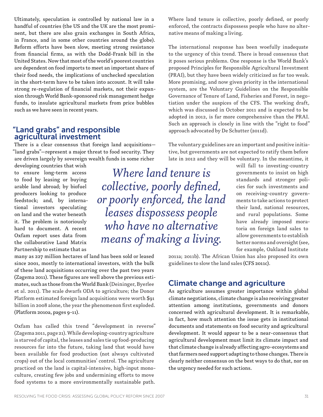Ultimately, speculation is controlled by national law in a handful of countries (the US and the UK are the most prominent, but there are also grain exchanges in South Africa, in France, and in some other countries around the globe). Reform efforts have been slow, meeting strong resistance from financial firms, as with the Dodd-Frank bill in the United States. Now that most of the world's poorest countries are dependent on food imports to meet an important share of their food needs, the implications of unchecked speculation in the short-term have to be taken into account. It will take strong re-regulation of financial markets, not their expansion through World Bank-sponsored risk management hedge funds, to insulate agricultural markets from price bubbles such as we have seen in recent years.

#### "Land grabs" and responsible agricultural investment

There is a clear consensus that foreign land acquisitions— "land grabs"—represent a major threat to food security. They are driven largely by sovereign wealth funds in some richer

developing countries that wish to ensure long-term access to food by leasing or buying arable land abroad; by biofuel producers looking to produce feedstock; and, by international investors speculating on land and the water beneath it. The problem is notoriously hard to document. A recent Oxfam report uses data from the collaborative Land Matrix Partnership to estimate that as

*Where land tenure is collective, poorly defined, or poorly enforced, the land leases dispossess people who have no alternative means of making a living.* 

many as 227 million hectares of land has been sold or leased since 2001, mostly to international investors, with the bulk of these land acquisitions occurring over the past two years (Zagema 2011). These figures are well above the previous estimates, such as those from the World Bank (Deininger, Byerlee et al. 2011). The scale dwarfs ODA to agriculture; the Donor Platform estimated foreign land acquisitions were worth \$91 billion in 2008 alone, the year the phenomenon first exploded. (Platform 2010a, pages 9-11).

Oxfam has called this trend "development in reverse" (Zagema 2011, page 21). While developing-country agriculture is starved of capital, the leases and sales tie up food-producing resources far into the future, taking land that would have been available for food production (not always cultivated crops) out of the local communities' control. The agriculture practiced on the land is capital-intensive, high-input monoculture, creating few jobs and undermining efforts to move food systems to a more environmentally sustainable path.

Where land tenure is collective, poorly defined, or poorly enforced, the contracts dispossess people who have no alternative means of making a living.

The international response has been woefully inadequate to the urgency of this trend. There is broad consensus that it poses serious problems. One response is the World Bank's proposed Principles for Responsible Agricultural Investment (PRAI), but they have been widely criticized as far too weak. More promising, and now given priority in the international system, are the Voluntary Guidelines on the Responsible Governance of Tenure of Land, Fisheries and Forest, in negotiation under the auspices of the CFS. The working draft, which was discussed in October 2011 and is expected to be adopted in 2012, is far more comprehensive than the PRAI. Such an approach is closely in line with the "right to food" approach advocated by De Schutter (2011d).

The voluntary guidelines are an important and positive initiative, but governments are not expected to ratify them before late in 2012 and they will be voluntary. In the meantime, it

> will fall to investing-country governments to insist on high standards and stronger policies for such investments and on receiving-country governments to take actions to protect their land, national resources, and rural populations. Some have already imposed moratoria on foreign land sales to allow governments to establish better norms and oversight (see, for example, Oakland Institute

2011a; 2011b). The African Union has also proposed its own guidelines to slow the land sales (CFS 2011c).

# Climate change and agriculture

As agriculture assumes greater importance within global climate negotiations, climate change is also receiving greater attention among institutions, governments and donors concerned with agricultural development. It is remarkable, in fact, how much attention the issue gets in institutional documents and statements on food security and agricultural development. It would appear to be a near-consensus that agricultural development must limit its climate impact and that climate change is already affecting agro-ecosystems and that farmers need support adapting to those changes. There is clearly neither consensus on the best ways to do that, nor on the urgency needed for such actions.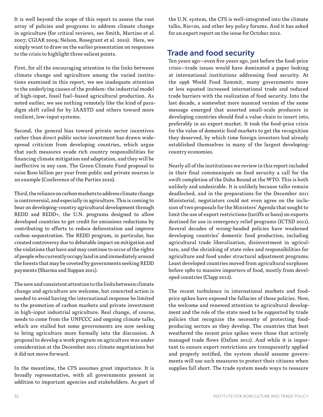It is well beyond the scope of this report to assess the vast array of policies and programs to address climate change in agriculture (for critical reviews, see Smith, Martino et al. 2007; CGIAR 2009; Nelson, Rosegrant et al. 2010). Here, we simply want to draw on the earlier presentation on responses to the crisis to highlight three salient points.

First, for all the encouraging attention to the links between climate change and agriculture among the varied institutions examined in this report, we see inadequate attention to the underlying causes of the problem: the industrial model of high-input, fossil fuel–based agricultural production. As noted earlier, we see nothing remotely like the kind of paradigm shift called for by IAASTD and others toward more resilient, low-input systems.

Second, the general bias toward private sector incentives rather than direct public sector investment has drawn widespread criticism from developing countries, which argue that such measures evade rich country responsibilities for financing climate mitigation and adaptation, and they will be ineffective in any case. The Green Climate Fund proposal to raise \$100 billion per year from public and private sources is an example (Conference of the Parties 2010).

Third, the reliance on carbon markets to address climate change is controversial, and especially in agriculture. This is coming to bear on developing-country agricultural development through REDD and REDD+, the U.N. programs designed to allow developed countries to get credit for emissions reductions by contributing to efforts to reduce deforestation and improve carbon sequestration. The REDD program, in particular, has created controversy due to debatable impact on mitigation and the violations that have and may continue to occur of the rights of people who currently occupy land in and immediately around the forests that may be coveted by governments seeking REDD payments (Sharma and Suppan 2011).

The new and consistent attention to the links between climate change and agriculture are welcome, but concerted action is needed to avoid having the international response be limited to the promotion of carbon markets and private investment in high-input industrial agriculture. Real change, of course, needs to come from the UNFCCC and ongoing climate talks, which are stalled but some governments are now seeking to bring agriculture more formally into the discussion. A proposal to develop a work program on agriculture was under consideration at the December 2011 climate negotiations but it did not move forward.

In the meantime, the CFS assumes great importance. It is broadly representative, with all governments present in addition to important agencies and stakeholders. As part of the U.N. system, the CFS is well-integrated into the climate talks, Rio+20, and other key policy forums. And it has asked for an expert report on the issue for October 2012.

# Trade and food security

Ten years ago—even five years ago, just before the food-price crisis—trade issues would have dominated a paper looking at international institutions addressing food security. At the 1996 World Food Summit, many governments more or less equated increased international trade and reduced trade barriers with the realization of food security. Into the last decade, a somewhat more nuanced version of the same message emerged that asserted small-scale producers in developing countries should find a value chain to insert into, preferably in an export market. It took the food-price crisis for the value of domestic food markets to get the recognition they deserved, by which time foreign investors had already established themselves in many of the largest developingcountry economies.

Nearly all of the institutions we review in this report included in their final communiqués on food security a call for the swift completion of the Doha Round at the WTO. This is both unlikely and undesirable. It is unlikely because talks remain deadlocked, and in the preparations for the December 2011 Ministerial, negotiators could not even agree on the inclusion of two proposals for the Ministers' Agenda that sought to limit the use of export restrictions (tariffs or bans) on exports destined for use in emergency relief programs (ICTSD 2011). Several decades of wrong-headed policies have weakened developing countries' domestic food production, including agricultural trade liberalization, disinvestment in agriculture, and the shrinking of state roles and responsibilities for agriculture and food under structural adjustment programs. Least developed countries moved from agricultural surpluses before 1980 to massive importers of food, mostly from developed countries (Clapp 2012).

The recent turbulence in international markets and foodprice spikes have exposed the fallacies of those policies. Now, the welcome and renewed attention to agricultural development and the role of the state need to be supported by trade policies that recognize the necessity of protecting foodproducing sectors as they develop. The countries that best weathered the recent price spikes were those that actively managed trade flows (Oxfam 2011). And while it is important to ensure export restrictions are transparently applied and properly notified, the system should assume governments will use such measures to protect their citizens when supplies fall short. The trade system needs ways to reassure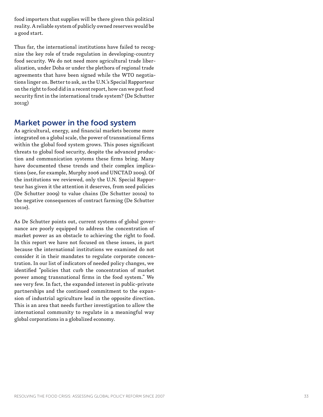food importers that supplies will be there given this political reality. A reliable system of publicly owned reserves would be a good start.

Thus far, the international institutions have failed to recog nize the key role of trade regulation in developing-country food security. We do not need more agricultural trade liber alization, under Doha or under the plethora of regional trade agreements that have been signed while the WTO negotia tions linger on. Better to ask, as the U.N.'s Special Rapporteur on the right to food did in a recent report, how can we put food security first in the international trade system? (De Schutter 2011g)

# Market power in the food system

As agricultural, energy, and financial markets become more integrated on a global scale, the power of transnational firms within the global food system grows. This poses significant threats to global food security, despite the advanced produc tion and communication systems these firms bring. Many have documented these trends and their complex implica tions (see, for example, Murphy 2006 and UNCTAD 2009). Of the institutions we reviewed, only the U.N. Special Rappor teur has given it the attention it deserves, from seed policies (De Schutter 2009) to value chains (De Schutter 2010a) to the negative consequences of contract farming (De Schutter 2011e).

As De Schutter points out, current systems of global gover nance are poorly equipped to address the concentration of market power as an obstacle to achieving the right to food. In this report we have not focused on these issues, in part because the international institutions we examined do not consider it in their mandates to regulate corporate concen tration. In our list of indicators of needed policy changes, we identified "policies that curb the concentration of market power among transnational firms in the food system." We see very few. In fact, the expanded interest in public-private partnerships and the continued commitment to the expan sion of industrial agriculture lead in the opposite direction. This is an area that needs further investigation to allow the international community to regulate in a meaningful way global corporations in a globalized economy.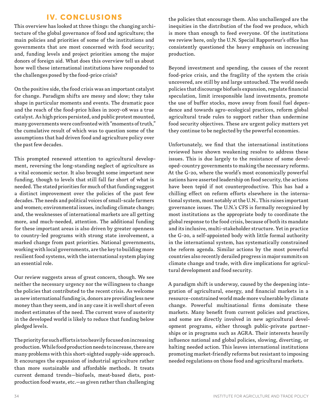### IV. CONCLUSIONS

This overview has looked at three things: the changing architecture of the global governance of food and agriculture; the main policies and priorities of some of the institutions and governments that are most concerned with food security; and, funding levels and project priorities among the major donors of foreign aid. What does this overview tell us about how well these international institutions have responded to the challenges posed by the food-price crisis?

On the positive side, the food crisis was an important catalyst for change. Paradigm shifts are messy and slow; they take shape in particular moments and events. The dramatic pace and the reach of the food-price hikes in 2007-08 was a true catalyst. As high prices persisted, and public protest mounted, many governments were confronted with "moments of truth," the cumulative result of which was to question some of the assumptions that had driven food and agriculture policy over the past few decades.

This prompted renewed attention to agricultural development, reversing the long-standing neglect of agriculture as a vital economic sector. It also brought some important new funding, though to levels that still fall far short of what is needed. The stated priorities for much of that funding suggest a distinct improvement over the policies of the past few decades. The needs and political voices of small-scale farmers and women; environmental issues, including climate change; and, the weaknesses of international markets are all getting more, and much-needed, attention. The additional funding for these important areas is also driven by greater openness to country-led programs with strong state involvement, a marked change from past priorities. National governments, working with local governments, are the key to building more resilient food systems, with the international system playing an essential role.

Our review suggests areas of great concern, though. We see neither the necessary urgency nor the willingness to change the policies that contributed to the recent crisis. As welcome as new international funding is, donors are providing less new money than they seem, and in any case it is well short of even modest estimates of the need. The current wave of austerity in the developed world is likely to reduce that funding below pledged levels.

The priority for such efforts is too heavily focused on increasing production. While food production needs to increase, there are many problems with this short-sighted supply-side approach. It encourages the expansion of industrial agriculture rather than more sustainable and affordable methods. It treats current demand trends—biofuels, meat-based diets, postproduction food waste, etc.—as given rather than challenging

the policies that encourage them. Also unchallenged are the inequities in the distribution of the food we produce, which is more than enough to feed everyone. Of the institutions we review here, only the U.N. Special Rapporteur's office has consistently questioned the heavy emphasis on increasing production.

Beyond investment and spending, the causes of the recent food-price crisis, and the fragility of the system the crisis uncovered, are still by and large untouched. The world needs policies that discourage biofuels expansion, regulate financial speculation, limit irresponsible land investments, promote the use of buffer stocks, move away from fossil fuel dependence and towards agro-ecological practices, reform global agricultural trade rules to support rather than undermine food security objectives. These are urgent policy matters yet they continue to be neglected by the powerful economies.

Unfortunately, we find that the international institutions reviewed have shown weakening resolve to address these issues. This is due largely to the resistance of some developed-country governments to making the necessary reforms. At the G-20, where the world's most economically powerful nations have asserted leadership on food security, the actions have been tepid if not counterproductive. This has had a chilling effect on reform efforts elsewhere in the international system, most notably at the U.N.. This raises important governance issues. The U.N.'s CFS is formally recognized by most institutions as the appropriate body to coordinate the global response to the food crisis, because of both its mandate and its inclusive, multi-stakeholder structure. Yet in practice the G-20, a self-appointed body with little formal authority in the international system, has systematically constrained the reform agenda. Similar actions by the most powerful countries also recently derailed progress in major summits on climate change and trade, with dire implications for agricultural development and food security.

A paradigm shift is underway, caused by the deepening integration of agricultural, energy, and financial markets in a resource-constrained world made more vulnerable by climate change. Powerful multinational firms dominate these markets. Many benefit from current policies and practices, and some are directly involved in new agricultural development programs, either through public-private partnerships or in programs such as AGRA. Their interests heavily influence national and global policies, slowing, diverting, or halting needed action. This leaves international institutions promoting market-friendly reforms but resistant to imposing needed regulations on those food and agricultural markets.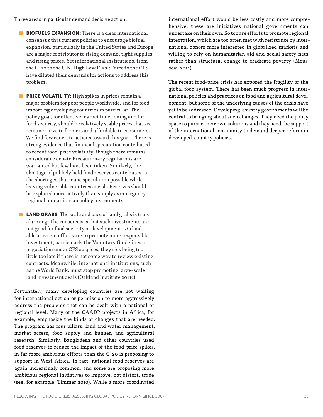Three areas in particular demand decisive action:

- **BIOFUELS EXPANSION:** There is a clear international consensus that current policies to encourage biofuel expansion, particularly in the United States and Europe, are a major contributor to rising demand, tight supplies, and rising prices. Yet international institutions, from the G-20 to the U.N. High Level Task Force to the CFS, have diluted their demands for actions to address this problem.
- **PRICE VOLATILITY:** High spikes in prices remain a major problem for poor people worldwide, and for food importing developing countries in particular. The policy goal, for effective market functioning and for food security, should be relatively stable prices that are remunerative to farmers and affordable to consumers. We find few concrete actions toward this goal. There is strong evidence that financial speculation contributed to recent food-price volatility, though there remains considerable debate Precautionary regulations are warranted but few have been taken. Similarly, the shortage of publicly held food reserves contributes to the shortages that make speculation possible while leaving vulnerable countries at risk. Reserves should be explored more actively than simply as emergency regional humanitarian policy instruments.
- LAND GRABS: The scale and pace of land grabs is truly alarming. The consensus is that such investments are not good for food security or development. As laudable as recent efforts are to promote more responsible investment, particularly the Voluntary Guidelines in negotiation under CFS auspices, they risk being too little too late if there is not some way to review existing contracts. Meanwhile, international institutions, such as the World Bank, must stop promoting large-scale land investment deals (Oakland Institute 2011c).

Fortunately, many developing countries are not waiting for international action or permission to more aggressively address the problems that can be dealt with a national or regional level. Many of the CAADP projects in Africa, for example, emphasize the kinds of changes that are needed. The program has four pillars: land and water management, market access, food supply and hunger, and agricultural research. Similarly, Bangladesh and other countries used food reserves to reduce the impact of the food-price spikes, in far more ambitious efforts than the G-20 is proposing to support in West Africa. In fact, national food reserves are again increasingly common, and some are proposing more ambitious regional initiatives to improve, not distort, trade (see, for example, Timmer 2010). While a more coordinated

international effort would be less costly and more comprehensive, these are initiatives national governments can undertake on their own. So too are efforts to promote regional integration, which are too often met with resistance by international donors more interested in globalized markets and willing to rely on humanitarian aid and social safety nets rather than structural change to eradicate poverty (Mousseau 2011).

The recent food-price crisis has exposed the fragility of the global food system. There has been much progress in international policies and practices on food and agricultural development, but some of the underlying causes of the crisis have yet to be addressed. Developing-country governments will be central to bringing about such changes. They need the policy space to pursue their own solutions and they need the support of the international community to demand deeper reform in developed-country policies.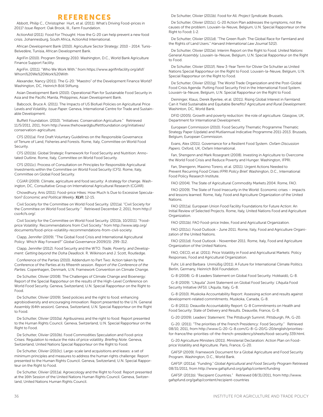#### REFERENCES

Abbott, Philip C., Christopher Hurt, et al. (2011). What's Driving Food-prices in 2011? *Issue Report*. Oak Brook, Ill., Farm Foundation.

ActionAid (2011). Food For Thought: How the G-20 can help prevent a new food crisis. Johannesburg, South Africa, ActionAid International.

African Development Bank (2010). Agriculture Sector Strategy: 2010 - 2014. Tunis-Belvedère, Tunisia, African Development Bank.

AgriFin (2010). Program Strategy 2010. Washington, D.C., World Bank Agriculture Finance Support Facility.

AgriFin. (2011). "Who We Work With." from https://www.agrifinfacility.org/afsf/ Whom%20We%20Work%20With

Alexander, Nancy (2011). The G-20: "Maestro" of the Development Finance World? Washington, DC, Heinrich Böll Stiftung.

Asian Development Bank (2010). Operational Plan for Sustainable Food Security in Asia and the Pacific Manila, Philippines, Asian Development Bank.

Babcock, Bruce A. (2011). The Impacts of US Biofuel Policies on Agricultural Price Levels and Volatility. *Issue Paper*. Geneva, International Centre for Trade and Sustainable Development.

Buffett Foundation. (2010). "Initiatives: Conservation Agriculture." Retrieved 11/5/2011, 2011, from http://www.thehowardgbuffettfoundation.org/initiatives/ conservation-agriculture.

CFS (2011a). First Draft Voluntary Guidelines on the Responsible Governance of Tenure of Land, Fisheries and Forests. Rome, Italy, Committee on World Food Security.

CFS (2011b). Global Strategic Framework for Food Security and Nutrition: Annotated Outline. Rome, Italy, Committee on World Food Security.

CFS (2011c). Process of Consultation on Principles for Responsible Agricultural Investments within the Committee on World Food Security (CFS). Rome, Italy, Committee on Global Food Security.

CGIAR (2009). Climate, agriculture and food security: A strategy for change. Washington, DC, Consultative Group on International Agricultural Research (CGIAR).

Chowdhury, Anis (2011). Food-price Hikes: How Much Is Due to Excessive Speculation? *Economic and Political Weekly*. XLVI: 12-15.

Civil Society for the Committee on World Food Security. (2011a). "Civil Society for the Committee on World Food Security " Retrieved December 2, 2011, from http:// cso4cfs.org/.

Civil Society for the Committee on World Food Security. (2011b, 10/2011). "Foodprice Volatility: Recommendations from Civil Society." from http://www.iatp.org/ documents/food-price-volatility-recommendations-from-civil-society.

Clapp, Jennifer (2009). "The Global Food Crisis and International Agricultural Policy: Which Way Forward?" *Global Governance* 2009(15): 299-312.

Clapp, Jennifer (2012). Food Security and the WTO. *Trade, Poverty, and Development: Getting beyond the Doha Deadlock*. R. Wilkinson and J. Scott, Routledge.

Conference of the Parties (2010). Addendum to Part Two: Action taken by the Conference of the Parties at its fifteenth session. *Report of the Conference of the Parties*. Copenhagen, Denmark, U.N. Framework Convention on Climate Change.

De Schutter, Olivier (2008). The Challenges of Climate Change and Bioenergy: Report of the Special Rapporteur on the results of the High-Level Conference on World Food Security. Geneva, Switzerland, U.N. Special Rapporteur on the Right to Food.

De Schutter, Olivier (2009). Seed policies and the right to food: enhancing agrobiodiversity and encouraging innovation: Report presented to the U.N. General Assembly (64th session). Geneva, Switzerland, U.N. Special Rapporteur on the Right to Food.

De Schutter, Olivier (2010a). Agribusiness and the right to food: Report presented to the Human Rights Council. Geneva, Switzerland, U.N. Special Rapporteur on the Right to Food.

De Schutter, Olivier (2010b). Food Commodities Speculation and Food-price Crises: Regulation to reduce the risks of price volatility. *Briefing Note*. Geneva, Switzerland, United Nations Special Rapporteur on the Right to Food.

De Schutter, Olivier (2010c). Large-scale land acquisitions and leases: a set of minimum principles and measures to address the human rights challenge: Report presented to the Human Rights Council. Geneva, Switzerland, U.N. Special Rapporteur on the Right to Food.

De Schutter, Olivier (2011a). Agroecology and the Right to Food: Report presented at the 16th Session of the United Nations Human Rights Council. Geneva, Switzerland, United Nations Human Rights Council.

De Schutter, Olivier (2011b). Food for All. *Project Syndicate*. Brussels.

De Schutter, Olivier (2011c). G-20 Action Plan addresses the symptoms, not the causes of the problem. Louvain-la-Neuve, Belgium, U.N. Special Rapporteur on the Right to Food: 1-2.

De Schutter, Olivier (2011d). "The Green Rush: The Global Race for Farmland and the Rights of Land Users." *Harvard International Law Journal* 52(2).

De Schutter, Olivier (2011e). Interim Report on the Right to Food. *United Nations General Assembly*. Louvain-la-Neuve, Belgium, U.N. Special Rapporteur on the Right to Food.

De Schutter, Olivier (2011f). New 3-Year Term for Olivier De Schutter as United Nations Special Rapporteur on the Right to Food. Louvain-la-Neuve, Belgium, U.N. Special Rapporteur on the Right to Food.

De Schutter, Olivier (2011g). The World Trade Organization and the Post-Global Food Crisis Agenda: Putting Food Security First in the International Food System. Louvain-la-Neuve, Belgium, U.N. Special Rapporteur on the Right to Food.

Deininger, Klaus, Derek Byerlee, et al. (2011). Rising Global Interest in Farmland: Can it Yield Sustainable and Equitable Benefits? *Agriculture and Rural Development*. Washinton, DC, World Bank.

DFID (2005). Growth and poverty reduction: the role of agriculture. Glasgow, UK, Department for International Development.

European Commission (2010). Food Security Thematic Programme Thematic Strategy Paper (Update) and Mutliannual Indicative Programme 2011-2013. Brussels, Belgium, European Commission.

Evans, Alex (2011). Governance for a Resilient Food System. *Oxfam Discussion Papers*. Oxford, UK, Oxfam International.

Fan, Shengenn and Mark Rosegrant (2008). Investing in Agriculture to Overcome the World Food Crisis and Reduce Poverty and Hunger. Washington, IFPRI.

Fan, Shengenn, Maximo Torero, et al. (2011). Urgent Actions Needed to Prevent Recurring Food Crises *IFPRI Policy Brief*. Washington, D.C., International Food Policy Research Institute.

FAO (2004). The State of Agricultural Commodity Markets 2004. Rome, FAO.

FAO (2009). The State of Food Insecurity in the World: Economic crises – impacts and lessons learned. Rome, Italy, Food and Agriculture Organization of the United **Nations** 

FAO (2011a). European Union Food Facility Foundations for Future Action: An Initial Review of Selected Projects. Rome, Italy, United Nations Food and Agriculture Organization.

FAO (2011b). FAO Food-price Index, Food and Agricultural Organization.

FAO (2011c). Food Outlook - June 2011. Rome, Italy, Food and Agriculture Organization of the United Nations.

FAO (2011d). Food Outlook - November 2011. Rome, Italy, Food and Agriculture Organization of the United Nations.

FAO, OECD, et al. (2011). Price Volatility in Food and Agricultural Markets: Policy Responses, Food and Agricultural Organization.

Fuhr, Lili and Barbara Unmüßig (2011). A Future for International Climate Politics Berlin, Germany, Heinrich Böll Foundation.

G-8 (2008). G-8 Leaders Statement on Global Food Security. Hokkaidō, G-8.

G-8 (2009). "L'Aquila" Joint Statement on Global Food Security: L'Aquila Food Security Initiative (AFSI). L'Aquila, Italy, G-8.

G-8 (2010). Muskoka Accountability Report: Assessing action and results against development-related commitments. Muskoka, Canada, G-8.

G-8 (2011). Deauville Accountability Report: G-8 Commitments on Health and Food Security: State of Delivery and Results. Deauville, France, G-8.

G-20 (2009). Leaders' Statement: The Pittsburgh Summit. Pittsburgh, PA, G-20.

G-20. (2011). "The priorities of the French Presidency: Food Security." Retrieved 08/10, 2011, from http://www.G-20-G-8.com/G-8-G-20/G-20/english/prioritiesfor-france/the-priorities-of-the-french-presidency/sheets/food-security.339.html.

G-20 Agriculture Ministers (2011). Ministerial Declaration: Action Plan on Foodprice Volatility and Agriculture. Paris, France, G-20.

GAFSP (2009). Framework Document for a Global Agriculture and Food Security Program. Washington, D.C., World Bank.

GAFSP. (2011a). "Funding." *Global Agricultural and Food Security Program* Retrieved 08/31/2011, from http://www.gafspfund.org/gafsp/content/funding

GAFSP. (2011b). "Recipient Countries." Retrieved 08/31/2011, from http://www. gafspfund.org/gafsp/content/recipient-countries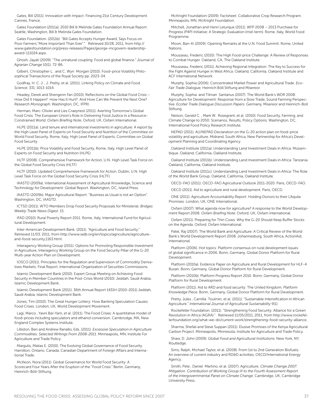Gates, Bill (2011). Innovation with Impact: Financing 21st Century Development. Cannes, France.

Gates Foundation (2011a). 2010 Bill & Melinda Gates Foundation Annual Report. Seattle, Washington, Bill & Melinda Gates Foundation.

Gates Foundation. (2011b). "Bill Gates Accepts Hunger Award, Says Focus on Poor Farmers "More Important Than Ever"." Retrieved 10/28, 2011, from http:// www.gatesfoundation.org/press-releases/Pages/george-mcgovern-leadershipaward-111024.aspx.

Ghosh, Jayati (2009). "The unnatural coupling: Food and global finance." *Journal of Agrarian Change* 10(1): 72-86.

Gilbert, Christopher L. and C. Wyn Morgan (2010). Food-price Volatility Philosophical Transactions of the Royal Society pp. 2023-34.

Godfray, H. C. J. , J. Pretty, et al. (2011). Linking Policy on Climate and Food. *Science*. 331: 1013-1014.

Headey, Derek and Shengenn Fan (2010). Reflections on the Global Food Crisis – How Did It Happen? How Has It Hurt? And How Can We Prevent the Next One? *Research Monograph*. Washington, DC, IFPRI.

Herman, Marc-Olivier and Lies Craeynest (2011). Averting Tomorrow's Global Food Crisis: The European Union's Role in Delivering Food Justice in a Resource-Constrained World. *Oxfam Briefing Note*. Oxford, UK, Oxfam International.

HLPE (2011a). Land tenure and international investments in agriculture: A report by the High Level Panel of Experts on Food Security and Nutrition of the Committee on World Food Security. Rome, Italy, High Level Panel of Experts, Committee on Global Food Security.

HLPE (2011b). Price Volatility and Food Security. Rome, Italy, High Level Panel of Experts on Food Security and Nutrition (HLPE).

HLTF (2008). Comprehensive Framework for Action, U.N. High Level Task Force on the Global Food Security Crisis (HLTF)

HLTF (2010). Updated Comprehensive Framework for Action. Dublin, U.N. High Level Task Force on the Global Food Security Crisis (HLTF).

IAASTD (2009a). International Assessment of Agricultural Knowledge, Science and Technology for Development: Global Report. Washington, DC, Island Press.

IAASTD (2009b). Major Agricultural Report: "Business as Usual is not an Option". Washington, DC, IAASTD.

ICTSD (2011). WTO Members Drop Food Security Proposals for Ministerial. *Bridges Weekly Trade News Digest*. 15.

IFAD (2010). Rural Poverty Report 2011. Rome, Italy, International Fund for Agricultural Development.

Inter-American Development Bank. (2011). "Agriculture and Food Security." Retrieved 11/03, 2011, from http://www.iadb.org/en/topics/agriculture/agricultureand-food-security,1163.html.

Interagency Working Group (2011). Options for Promoting Responsible Investment in Agriculture, Interagency Working Group on the Food Security Pillar of the G-20 Multi-year Action Plan on Development.

IOSCO (2011). Principles for the Regulation and Supervision of Commodity Derivatives Markets: Final Report, International Organization of Securities Commissions.

Islamic Development Bank (2010). Expert Group Meeting on Achieving Food Security in Member Countries in the Post-Crisis World (2010). Jeddah, Saudi Arabia, Islamic Development Bank.

Islamic Development Bank (2011). 36th Annual Report 1431H (2010-2011) Jeddah, Saudi Arabia, Islamic Development Bank.

Jones, Tim (2010). The Great Hunger Lottery: How Banking Speculation Causes Food Crises. London, UK, World Development Movement.

Lagi, Marco , Yavni Bar-Yam, et al. (2011). The Food Crises: A quantitative model of food-prices including speculators and ethanol conversion. Cambrodge, MA, New England Complex Systems Institute.

Lilliston, Ben and Andrew Ranallo, Eds. (2011). *Excessive Speculation in Agriculture Commodities: Selected Writings From 2008-2011*. Minneapolis, MN, Institute For Agriculture and Trade Policy.

Margulis, Matias E. (2010). The Evolving Global Governance of Food Security. Hamilton, Ontario, Canada, Canadian Department of Foreign Affairs and International Trade.

McKeon, Nora (2011). Global Governance for World Food Security: A Scorecard Four Years After the Eruption of the "Food Crisis." Berlin, Germany, Heinrich-Böll-Stiftung.

McKnight Foundation (2009). Factsheet: Collaborative Crop Research Program. Minneapolis, MN, McKnight Foundation.

Mitchell, Jonathan and Henri Leturque (2011). WFP 2008 – 2013 Purchase for Progress (P4P) Initiative: A Strategic Evaluation (mid-term). Rome, Italy, World Food Programme.

Moon, Ban-Ki (2009). Opening Remarks at the U.N. Food Summit. Rome, United Nations.

Mousseau, Frederic (2010). The High Food-price Challenge: A Review of Responses to Combat Hunger. Oakland, CA, The Oakland Institute.

Mousseau, Frederic (2011). Achieving Regional Integration: The Key to Success for the Fight Against Hunger in West Africa. Oakland, California, Oakland Institute and ACF International Network.

Murphy, Sophia (2006). Concentrated Market Power and Agricultural Trade. *Eco-Fair Trade Dialogue,* Heinrich Böll Stiftung and Misereor.

Murphy, Sophia and Tilman Santarius (2007). The World Bank's WDR 2008: Agriculture for Development: Response from a Slow Trade, Sound Farming Perspective. *Ecofair Trade Dialogue Discussion Papers*. Germany, Misereor and Heinrich-Boll Stiftung.

Nelson, Gerald C. , Mark W. Rosegrant, et al. (2010). Food Security, Farming, and Climate Change to 2050: Scenarios, Results, Policy Options. Washington, DC, International Food Policy Research Institute.

NEPAD (2011). AU/NEPAD Declaration on the G-20 action plan on food-price volatility and agriculture. Midrand, South Africa, New Partnership for Africa's Development Planning and Coordinating Agency.

Oakland Institute (2011a). Understanding Land Investment Deals in Africa: Mozambique. Oakland, California, Oakland Institute.

Oakland Institute (2011b). Understanding Land Investment Deals in Africa: Tanzania. Oakland, California, Oakland Institute.

Oakland Institute (2011c). Understanding Land Investment Deals in Africa: The Role of the World Bank Group. Oakland, California, Oakland Institute.

OECD-FAO (2011). OECD-FAO Agricultural Outlook 2011-2020. Paris, OECD-FAO.

OECD (2011). Aid to agriculture and rural development. Paris, OECD.

ONE (2011). Agriculture Accountability Report: Holding Donors to their L'Aquila Promises. London, UK, ONE International.

Oxfam (2007). What agenda now for agriculture? A response to the World Development Report 2008. *Oxfam Briefing Note*. Oxford, UK, Oxfam International.

Oxfam (2011). Preparing for Thin Cows: Why the G-20 Should Keep Buffer Stocks on the Agenda. Oxford, Oxfam International.

Patel, Raj (2007). The World Bank and Agriculture: A Critical Review of the World Bank's World Development Report 2008. Johannesburg, South Africa, ActionAid, International.

Platform (2006). Hot topics: Platform consensus on rural development issues of global significance in 2006. Bonn, Germany, Global Donor Platform for Rural Development.

Platform (2010a). Evidence Paper on Agriculture and Rural Development for HLF-4 Busan. Bonn, Germany, Global Donor Platform for Rural Development.

Platform (2010b). Platform Progress Report 2010. Bonn, Germany, Global Donor Platform for Rural Development.

Platform (2011). Aid to ARD and food security: The United Kingdom. *Platform Knowledge Piece*. Bonn, Germany, Global Donor Platform for Rural Development.

Pretty, Jules , Camilla Toulmin, et al. (2011). "Sustainable Intensification in African Agriculture." *International Journal of Agricultural Sustainability* 9(1).

Rockefeller Foundation. (2011). "Strengthening Food Security: Alliance for a Green Revolution in Africa (AGRA)." Retrieved 11/05/2011, 2011, from http://www.rockefellerfoundation.org/what-we-do/current-work/strengthening-food-security-alliance.

Sharma, Shefali and Steve Suppan (2011). Elusive Promises of the Kenya Agricultural Carbon Project. Minneapolis, Minnesota, Institute for Agriculture and Trade Policy.

Shaw, D. John (2009). *Global Food and Agricultural Institutions*. New York, NY, Routledge.

Sims, Ralph, Michael Taylor, et al. (2008). From 1st to 2nd Generation Biofuels: An overview of current industry and RD&D activities, OECD/International Energy Agency.

Smith, Pete , Daniel Martino, et al. (2007). Agriculture. *Climate Change 2007: Mitigation. Contribution of Working Group III to the Fourth Assessment Report of the Intergovernmental Panel on Climate Change*. Cambridge, UK, Cambridge University Press.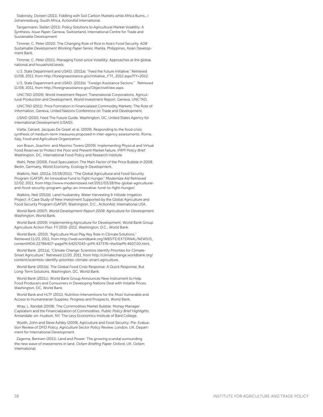Stabinsky, Doreen (2011). Fiddling with Soil Carbon Markets while Africa Burns…! Johannesburg, South Africa, ActionAid International.

Tangermann, Stefan (2011). Policy Solutions to Agricultural Market Volatility: A Synthesis. *Issue Paper*. Geneva, Switzerland, International Centre for Trade and Sustainable Development.

Timmer, C. Peter (2010). The Changing Role of Rice in Asia's Food Security. *ADB Sustainable Development Working Paper Series*. Manila, Philippines, Asian Development Bank.

Timmer, C. Peter (2011). Managing Food-price Volatility: Approaches at the global, national and household levels.

U.S. State Department and USAID. (2011a). "Feed the Future Initiative." Retrieved 11/08, 2011, from http://foreignassistance.gov/Initiative\_FTF\_2012.aspx?FY=2012.

U.S. State Department and USAID. (2011b). "Foreign Assistance Sectors." Retrieved 11/08, 2011, from http://foreignassistance.gov/ObjectiveView.aspx.

UNCTAD (2009). World Investment Report: Transnational Corporations, Agricultural Production and Development. World Investment Report. Geneva, UNCTAD.

UNCTAD (2011). Price Formation in Financialized Commodity Markets: The Role of Information. Geneva, United Nations Conference on Trade and Development.

USAID (2010). Feed The Future Guide. Washington, DC, United States Agency for International Development (USAID).

Viatte, Gérard, Jacques De Graaf, et al. (2009). Responding to the food crisis: synthesis of medium-term measures proposed in inter-agency assessments. Rome, Italy, Food and Agriculture Organization.

von Braun, Joachim and Maximo Torero (2009). Implementing Physical and Virtual Food Reserves to Protect the Poor and Prevent Market Failure. *IFRPI Policy Brief*. Washington, DC, International Food Policy and Research Institute.

Wahl, Peter (2009). Food Speculation: The Main Factor of the Price Bubble in 2008. Berlin, Germany, World Economy, Ecology & Development.

Watkins, Neil. (2011a, 03/18/2011). "The Global Agricultural and Food Security Program (GAFSP): An Innovative Fund to Fight Hunger." *Modernize Aid* Retrieved 12/02, 2011, from http://www.modernizeaid.net/2011/03/18/the-global-agriculturaland-food-security-program-gafsp-an-innovative-fund-to-fight-hunger/.

Watkins, Neil (2011b). Land Husbandry, Water Harvesting & Hillside Irrigation Project: A Case Study of New Investment Supported by the Global Agriculture and Food Security Program (GAFSP). Washington, D.C., ActionAid, International USA.

World Bank (2007). *World Development Report 2008: Agriculture for Development.* Washington, World Bank.

World Bank (2009). Implementing Agriculture for Development: World Bank Group Agriculture Action Plan: FY 2010-2012. Washington, D.C., World Bank.

World Bank. (2010). "Agriculture Must Play Key Role In Climate Solutions." Retrieved 11/23, 2011, from http://web.worldbank.org/WBSITE/EXTERNAL/NEWS/0,, contentMDK:22786407~pagePK:64257043~piPK:437376~theSitePK:4607,00.html.

World Bank. (2011a). "Climate Change: Scientists Identify Priorities for Climate-Smart Agriculture." Retrieved 11/20, 2011, from http://climatechange.worldbank.org/ content/scientists-identify-priorities-climate-smart-agriculture.

World Bank (2011b). The Global Food Crisis Response: A Quick Response, But Long-Term Solutions. Washington, DC, World Bank.

World Bank (2011c). World Bank Group Announces New Instrument to Help Food Producers and Consumers in Developing Nations Deal with Volatile Prices. Washington, DC, World Bank.

World Bank and HLTF (2011). Nutrition Interventions for the Most Vulnerable and Access to Humanitarian Supplies: Progress and Prospects, World Bank.

Wray, L. Randall (2008). The Commodities Market Bubble: Money Manager Capitalism and the Financialization of Commodities. *Public Policy Brief Highlights*. Annandale-on-Hudson, NY, The Levy Economics Institute of Bard College.

Wyeth, John and Steve Ashley (2009). Agriculture and Food Security: Pre-Evaluation Review of DFID Policy. *Agriculture Sector Policy Review*. London, UK, Department for International Development.

Zagema, Bertram (2011). Land and Power: The growing scandal surrounding the new wave of investments in land. *Oxfam Briefing Paper*. Oxford, UK, Oxfam International.